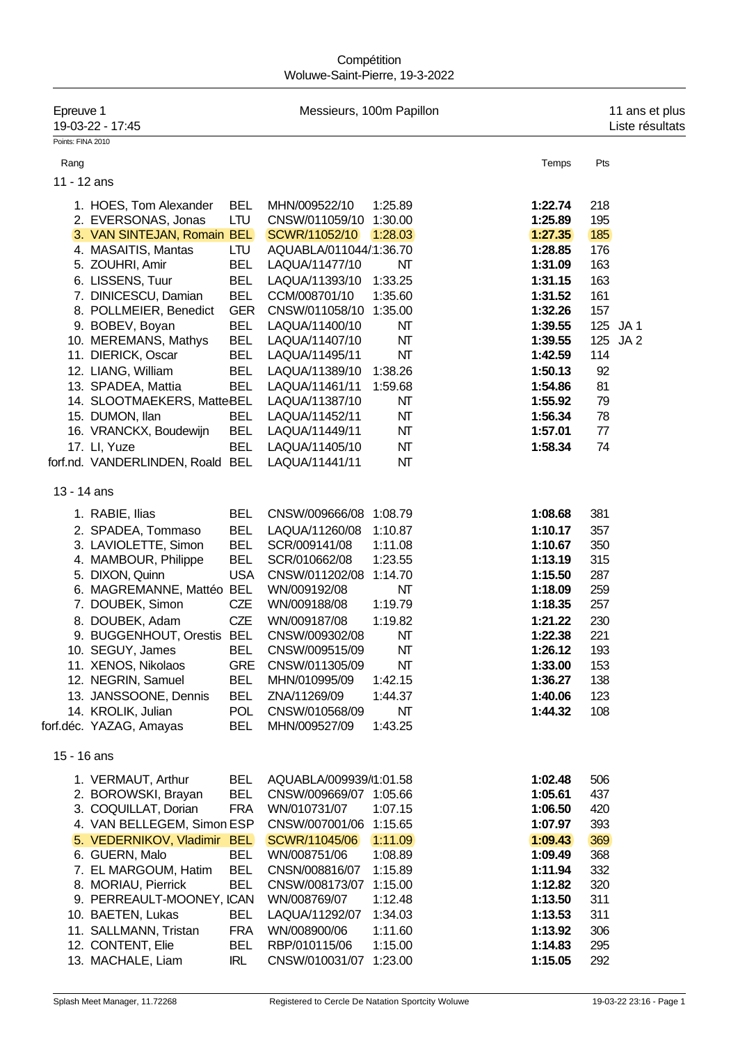## **Compétition** Woluwe-Saint-Pierre, 19-3-2022

| Epreuve 1         | 19-03-22 - 17:45                                                                                                                                                                                                                                                                                                                                                                     |                                                                                                                                                                                    | Messieurs, 100m Papillon                                                                                                                                                                                                                                                                          |                                                                                                                                          |                                                                                                                                                                              | 11 ans et plus<br>Liste résultats                                                                                                 |
|-------------------|--------------------------------------------------------------------------------------------------------------------------------------------------------------------------------------------------------------------------------------------------------------------------------------------------------------------------------------------------------------------------------------|------------------------------------------------------------------------------------------------------------------------------------------------------------------------------------|---------------------------------------------------------------------------------------------------------------------------------------------------------------------------------------------------------------------------------------------------------------------------------------------------|------------------------------------------------------------------------------------------------------------------------------------------|------------------------------------------------------------------------------------------------------------------------------------------------------------------------------|-----------------------------------------------------------------------------------------------------------------------------------|
| Points: FINA 2010 |                                                                                                                                                                                                                                                                                                                                                                                      |                                                                                                                                                                                    |                                                                                                                                                                                                                                                                                                   |                                                                                                                                          |                                                                                                                                                                              |                                                                                                                                   |
| Rang              |                                                                                                                                                                                                                                                                                                                                                                                      |                                                                                                                                                                                    |                                                                                                                                                                                                                                                                                                   |                                                                                                                                          | Temps                                                                                                                                                                        | Pts                                                                                                                               |
| 11 - 12 ans       |                                                                                                                                                                                                                                                                                                                                                                                      |                                                                                                                                                                                    |                                                                                                                                                                                                                                                                                                   |                                                                                                                                          |                                                                                                                                                                              |                                                                                                                                   |
|                   | 1. HOES, Tom Alexander<br>2. EVERSONAS, Jonas<br>3. VAN SINTEJAN, Romain BEL<br>4. MASAITIS, Mantas<br>5. ZOUHRI, Amir<br>6. LISSENS, Tuur<br>7. DINICESCU, Damian<br>8. POLLMEIER, Benedict<br>9. BOBEV, Boyan<br>10. MEREMANS, Mathys<br>11. DIERICK, Oscar<br>12. LIANG, William<br>13. SPADEA, Mattia<br>14. SLOOTMAEKERS, MatteBEL<br>15. DUMON, Ilan<br>16. VRANCKX, Boudewijn | <b>BEL</b><br>LTU<br>LTU<br>BEL<br><b>BEL</b><br><b>BEL</b><br><b>GER</b><br><b>BEL</b><br><b>BEL</b><br><b>BEL</b><br><b>BEL</b><br><b>BEL</b><br>BEL<br><b>BEL</b>               | MHN/009522/10<br>CNSW/011059/10<br>SCWR/11052/10<br>AQUABLA/011044/1:36.70<br>LAQUA/11477/10<br>LAQUA/11393/10<br>CCM/008701/10<br>CNSW/011058/10<br>LAQUA/11400/10<br>LAQUA/11407/10<br>LAQUA/11495/11<br>LAQUA/11389/10<br>LAQUA/11461/11<br>LAQUA/11387/10<br>LAQUA/11452/11<br>LAQUA/11449/11 | 1:25.89<br>1:30.00<br>1:28.03<br>NΤ<br>1:33.25<br>1:35.60<br>1:35.00<br>NΤ<br>NΤ<br>NΤ<br>1:38.26<br>1:59.68<br>NT<br>NΤ<br>NΤ           | 1:22.74<br>1:25.89<br>1:27.35<br>1:28.85<br>1:31.09<br>1:31.15<br>1:31.52<br>1:32.26<br>1:39.55<br>1:39.55<br>1:42.59<br>1:50.13<br>1:54.86<br>1:55.92<br>1:56.34<br>1:57.01 | 218<br>195<br>185<br>176<br>163<br>163<br>161<br>157<br>JA1<br>125<br>JA <sub>2</sub><br>125<br>114<br>92<br>81<br>79<br>78<br>77 |
|                   | 17. Ll, Yuze                                                                                                                                                                                                                                                                                                                                                                         | <b>BEL</b>                                                                                                                                                                         | LAQUA/11405/10                                                                                                                                                                                                                                                                                    | NΤ                                                                                                                                       | 1:58.34                                                                                                                                                                      | 74                                                                                                                                |
|                   | forf.nd. VANDERLINDEN, Roald BEL                                                                                                                                                                                                                                                                                                                                                     |                                                                                                                                                                                    | LAQUA/11441/11                                                                                                                                                                                                                                                                                    | NΤ                                                                                                                                       |                                                                                                                                                                              |                                                                                                                                   |
| 13 - 14 ans       |                                                                                                                                                                                                                                                                                                                                                                                      |                                                                                                                                                                                    |                                                                                                                                                                                                                                                                                                   |                                                                                                                                          |                                                                                                                                                                              |                                                                                                                                   |
|                   | 1. RABIE, Ilias<br>2. SPADEA, Tommaso<br>3. LAVIOLETTE, Simon<br>4. MAMBOUR, Philippe<br>5. DIXON, Quinn<br>6. MAGREMANNE, Mattéo BEL<br>7. DOUBEK, Simon<br>8. DOUBEK, Adam<br>9. BUGGENHOUT, Orestis BEL<br>10. SEGUY, James<br>11. XENOS, Nikolaos<br>12. NEGRIN, Samuel<br>13. JANSSOONE, Dennis<br>14. KROLIK, Julian<br>forf.déc. YAZAG, Amayas                                | <b>BEL</b><br><b>BEL</b><br><b>BEL</b><br><b>BEL</b><br><b>USA</b><br><b>CZE</b><br><b>CZE</b><br><b>BEL</b><br><b>GRE</b><br><b>BEL</b><br><b>BEL</b><br><b>POL</b><br><b>BEL</b> | CNSW/009666/08<br>LAQUA/11260/08<br>SCR/009141/08<br>SCR/010662/08<br>CNSW/011202/08<br>WN/009192/08<br>WN/009188/08<br>WN/009187/08<br>CNSW/009302/08<br>CNSW/009515/09<br>CNSW/011305/09<br>MHN/010995/09<br>ZNA/11269/09<br>CNSW/010568/09<br>MHN/009527/09                                    | 1:08.79<br>1:10.87<br>1:11.08<br>1:23.55<br>1:14.70<br>NΤ<br>1:19.79<br>1:19.82<br>NΤ<br>NΤ<br>NΤ<br>1:42.15<br>1:44.37<br>NΤ<br>1:43.25 | 1:08.68<br>1:10.17<br>1:10.67<br>1:13.19<br>1:15.50<br>1:18.09<br>1:18.35<br>1:21.22<br>1:22.38<br>1:26.12<br>1:33.00<br>1:36.27<br>1:40.06<br>1:44.32                       | 381<br>357<br>350<br>315<br>287<br>259<br>257<br>230<br>221<br>193<br>153<br>138<br>123<br>108                                    |
| 15 - 16 ans       |                                                                                                                                                                                                                                                                                                                                                                                      |                                                                                                                                                                                    |                                                                                                                                                                                                                                                                                                   |                                                                                                                                          |                                                                                                                                                                              |                                                                                                                                   |
|                   | 1. VERMAUT, Arthur<br>2. BOROWSKI, Brayan<br>3. COQUILLAT, Dorian<br>4. VAN BELLEGEM, Simon ESP<br>5. VEDERNIKOV, Vladimir BEL                                                                                                                                                                                                                                                       | <b>BEL</b><br><b>BEL</b><br><b>FRA</b>                                                                                                                                             | AQUABLA/009939/1:01.58<br>CNSW/009669/07 1:05.66<br>WN/010731/07<br>CNSW/007001/06 1:15.65<br>SCWR/11045/06                                                                                                                                                                                       | 1:07.15<br>1:11.09                                                                                                                       | 1:02.48<br>1:05.61<br>1:06.50<br>1:07.97<br>1:09.43                                                                                                                          | 506<br>437<br>420<br>393<br>369                                                                                                   |
|                   | 6. GUERN, Malo<br>7. EL MARGOUM, Hatim<br>8. MORIAU, Pierrick<br>9. PERREAULT-MOONEY, ICAN<br>10. BAETEN, Lukas                                                                                                                                                                                                                                                                      | <b>BEL</b><br><b>BEL</b><br><b>BEL</b><br><b>BEL</b>                                                                                                                               | WN/008751/06<br>CNSN/008816/07<br>CNSW/008173/07<br>WN/008769/07<br>LAQUA/11292/07                                                                                                                                                                                                                | 1:08.89<br>1:15.89<br>1:15.00<br>1:12.48<br>1:34.03                                                                                      | 1:09.49<br>1:11.94<br>1:12.82<br>1:13.50<br>1:13.53                                                                                                                          | 368<br>332<br>320<br>311<br>311                                                                                                   |
|                   | 11. SALLMANN, Tristan<br>12. CONTENT, Elie<br>13. MACHALE, Liam                                                                                                                                                                                                                                                                                                                      | <b>FRA</b><br><b>BEL</b><br><b>IRL</b>                                                                                                                                             | WN/008900/06<br>RBP/010115/06<br>CNSW/010031/07                                                                                                                                                                                                                                                   | 1:11.60<br>1:15.00<br>1:23.00                                                                                                            | 1:13.92<br>1:14.83<br>1:15.05                                                                                                                                                | 306<br>295<br>292                                                                                                                 |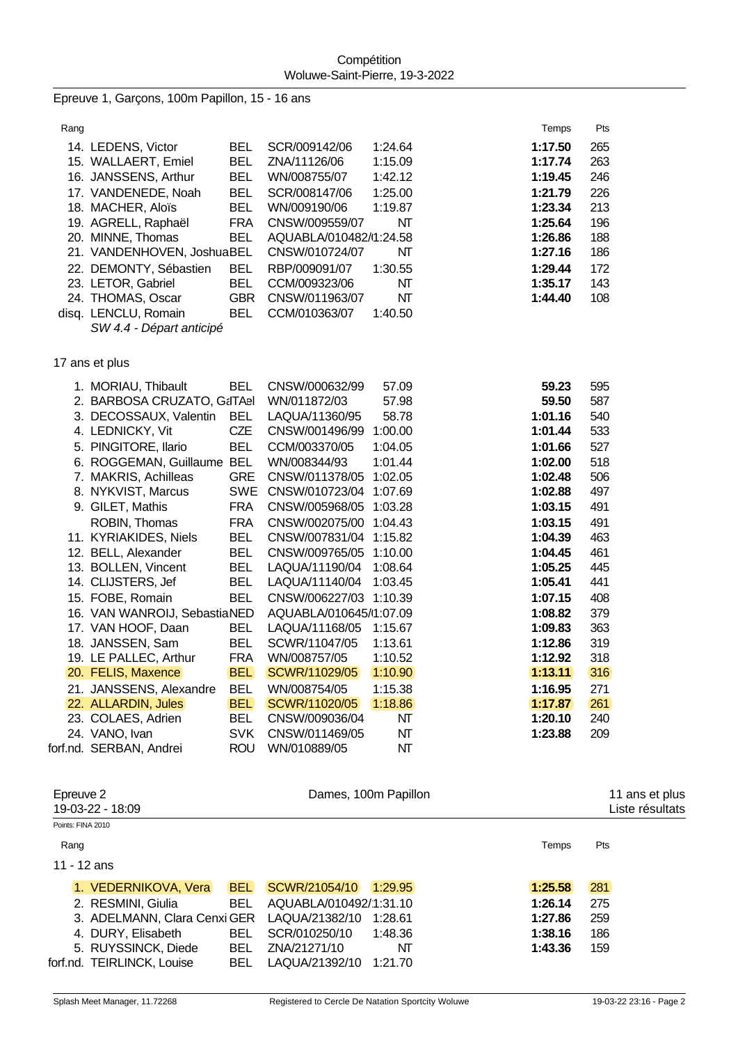Epreuve 1, Garçons, 100m Papillon, 15 - 16 ans

| Rang |                            |            |                        |         | Temps   | Pts |
|------|----------------------------|------------|------------------------|---------|---------|-----|
|      | 14. LEDENS, Victor         | BEL        | SCR/009142/06          | 1:24.64 | 1:17.50 | 265 |
|      | 15. WALLAERT, Emiel        | <b>BEL</b> | ZNA/11126/06           | 1:15.09 | 1:17.74 | 263 |
|      | 16. JANSSENS, Arthur       | BEL.       | WN/008755/07           | 1:42.12 | 1:19.45 | 246 |
|      | 17. VANDENEDE, Noah        | <b>BEL</b> | SCR/008147/06          | 1:25.00 | 1:21.79 | 226 |
|      | 18. MACHER, Aloïs          | <b>BEL</b> | WN/009190/06           | 1:19.87 | 1:23.34 | 213 |
|      | 19. AGRELL, Raphaël        | <b>FRA</b> | CNSW/009559/07         | NT      | 1:25.64 | 196 |
|      | 20. MINNE, Thomas          | <b>BEL</b> | AQUABLA/010482/1:24.58 |         | 1:26.86 | 188 |
|      | 21. VANDENHOVEN, JoshuaBEL |            | CNSW/010724/07         | NT      | 1:27.16 | 186 |
|      | 22. DEMONTY, Sébastien     | <b>BEL</b> | RBP/009091/07          | 1:30.55 | 1:29.44 | 172 |
|      | 23. LETOR, Gabriel         | <b>BEL</b> | CCM/009323/06          | NT      | 1:35.17 | 143 |
|      | 24. THOMAS, Oscar          | <b>GBR</b> | CNSW/011963/07         | NΤ      | 1:44.40 | 108 |
|      | disq. LENCLU, Romain       | BEL.       | CCM/010363/07          | 1:40.50 |         |     |
|      | C111A A. D4                |            |                        |         |         |     |

*SW 4.4 - Départ anticipé*

17 ans et plus

| 1. MORIAU, Thibault          | <b>BEL</b> | CNSW/000632/99         | 57.09   | 59.23   | 595 |
|------------------------------|------------|------------------------|---------|---------|-----|
| 2. BARBOSA CRUZATO, G&ITAel  |            | WN/011872/03           | 57.98   | 59.50   | 587 |
| 3. DECOSSAUX, Valentin       | <b>BEL</b> | LAQUA/11360/95         | 58.78   | 1:01.16 | 540 |
| 4. LEDNICKY, Vit             | <b>CZE</b> | CNSW/001496/99         | 1:00.00 | 1:01.44 | 533 |
| 5. PINGITORE, Ilario         | <b>BEL</b> | CCM/003370/05          | 1:04.05 | 1:01.66 | 527 |
| 6. ROGGEMAN, Guillaume       | <b>BEL</b> | WN/008344/93           | 1:01.44 | 1:02.00 | 518 |
| 7. MAKRIS, Achilleas         | <b>GRE</b> | CNSW/011378/05         | 1:02.05 | 1:02.48 | 506 |
| 8. NYKVIST, Marcus           | SWE        | CNSW/010723/04         | 1:07.69 | 1:02.88 | 497 |
| 9. GILET, Mathis             | <b>FRA</b> | CNSW/005968/05         | 1:03.28 | 1:03.15 | 491 |
| ROBIN, Thomas                | <b>FRA</b> | CNSW/002075/00         | 1:04.43 | 1:03.15 | 491 |
| 11. KYRIAKIDES, Niels        | <b>BEL</b> | CNSW/007831/04         | 1:15.82 | 1:04.39 | 463 |
| 12. BELL, Alexander          | <b>BEL</b> | CNSW/009765/05         | 1:10.00 | 1:04.45 | 461 |
| 13. BOLLEN, Vincent          | <b>BEL</b> | LAQUA/11190/04         | 1:08.64 | 1:05.25 | 445 |
| 14. CLIJSTERS, Jef           | <b>BEL</b> | LAQUA/11140/04         | 1:03.45 | 1:05.41 | 441 |
| 15. FOBE, Romain             | <b>BEL</b> | CNSW/006227/03 1:10.39 |         | 1:07.15 | 408 |
| 16. VAN WANROIJ, SebastiaNED |            | AQUABLA/010645/1:07.09 |         | 1:08.82 | 379 |
| 17. VAN HOOF, Daan           | <b>BEL</b> | LAQUA/11168/05         | 1:15.67 | 1:09.83 | 363 |
| 18. JANSSEN, Sam             | <b>BEL</b> | SCWR/11047/05          | 1:13.61 | 1:12.86 | 319 |
| 19. LE PALLEC, Arthur        | <b>FRA</b> | WN/008757/05           | 1:10.52 | 1:12.92 | 318 |
| 20. FELIS, Maxence           | <b>BEL</b> | SCWR/11029/05          | 1:10.90 | 1:13.11 | 316 |
| 21. JANSSENS, Alexandre      | <b>BEL</b> | WN/008754/05           | 1:15.38 | 1:16.95 | 271 |
| 22. ALLARDIN, Jules          | <b>BEL</b> | SCWR/11020/05          | 1:18.86 | 1:17.87 | 261 |
| 23. COLAES, Adrien           | <b>BEL</b> | CNSW/009036/04         | NΤ      | 1:20.10 | 240 |
| 24. VANO, Ivan               | <b>SVK</b> | CNSW/011469/05         | NT      | 1:23.88 | 209 |
| forf.nd. SERBAN, Andrei      | <b>ROU</b> | WN/010889/05           | NΤ      |         |     |

| Epreuve 2<br>19-03-22 - 18:09            | Dames, 100m Papillon      |         | 11 ans et plus<br>Liste résultats |
|------------------------------------------|---------------------------|---------|-----------------------------------|
| Points: FINA 2010                        |                           |         |                                   |
| Rang                                     |                           | Temps   | <b>Pts</b>                        |
| 11 - 12 ans                              |                           |         |                                   |
| <b>BEL</b><br>1. VEDERNIKOVA, Vera       | SCWR/21054/10<br>1:29.95  | 1:25.58 | 281                               |
| 2. RESMINI, Giulia<br>BEL.               | AQUABLA/010492/1:31.10    | 1:26.14 | 275                               |
| 3. ADELMANN, Clara Cenxi GER             | LAQUA/21382/10<br>1:28.61 | 1:27.86 | 259                               |
| 4. DURY, Elisabeth<br><b>BEL</b>         | SCR/010250/10<br>1:48.36  | 1:38.16 | 186                               |
| 5. RUYSSINCK, Diede<br><b>BEL</b>        | ZNA/21271/10<br>NΤ        | 1:43.36 | 159                               |
| forf.nd. TEIRLINCK, Louise<br><b>BEL</b> | LAQUA/21392/10<br>1:21.70 |         |                                   |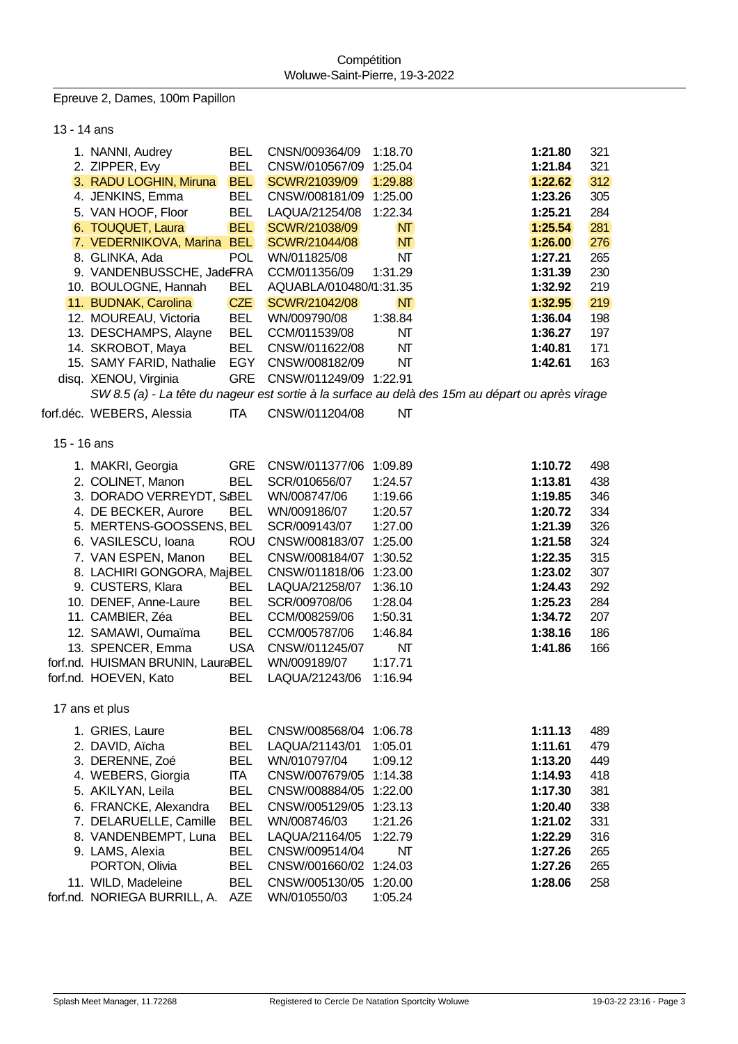Epreuve 2, Dames, 100m Papillon

13 - 14 ans 1. NANNI, Audrey BEL CNSN/009364/09 1:18.70 **1:21.80** 321 2. ZIPPER, Evy BEL CNSW/010567/09 1:25.04 **1:21.84** 321 3. RADU LOGHIN, Miruna BEL SCWR/21039/09 1:29.88 **1:22.62** 312 4. JENKINS, Emma BEL CNSW/008181/09 1:25.00 **1:23.26** 305 5. VAN HOOF, Floor BEL LAQUA/21254/08 1:22.34 **1:25.21** 284 6. TOUQUET, Laura BEL SCWR/21038/09 NT **1:25.54** 281 7. VEDERNIKOVA, Marina BEL SCWR/21044/08 NT **1:26.00** 276 8. GLINKA, Ada POL WN/011825/08 NT **1:27.21** 265 9. VANDENBUSSCHE, JadeFRA CCM/011356/09 1:31.29 **1:31.39** 230 10. BOULOGNE, Hannah BEL AQUABLA/010480/081:31.35 **1:32.92** 219 11. BUDNAK, Carolina CZE SCWR/21042/08 NT **1:32.95** 219 12. MOUREAU, Victoria BEL WN/009790/08 1:38.84 **1:36.04** 198 13. DESCHAMPS, Alayne BEL CCM/011539/08 NT **1:36.27** 197 14. SKROBOT, Maya BEL CNSW/011622/08 NT **1:40.81** 171 15. SAMY FARID, Nathalie EGY CNSW/008182/09 NT **1:42.61** 163 disq. XENOU, Virginia GRE CNSW/011249/09 1:22.91 *SW 8.5 (a) - La tête du nageur est sortie à la surface au delà des 15m au départ ou après virage* forf.déc. WEBERS, Alessia ITA CNSW/011204/08 NT 15 - 16 ans 1. MAKRI, Georgia GRE CNSW/011377/06 1:09.89 **1:10.72** 498 2. COLINET, Manon BEL SCR/010656/07 1:24.57 **1:13.81** 438 3. DORADO VERREYDT, S:BEL WN/008747/06 1:19.66 **1:19.85** 346 4. DE BECKER, Aurore BEL WN/009186/07 1:20.57 **1:20.72** 334 5. MERTENS-GOOSSENS, M. BEL SCR/009143/07 1:27.00 **1:21.39** 326 6. VASILESCU, Ioana ROU CNSW/008183/07 1:25.00 **1:21.58** 324 7. VAN ESPEN, Manon BEL CNSW/008184/07 1:30.52 **1:22.35** 315 8. LACHIRI GONGORA, MajdaBEL CNSW/011818/06 1:23.00 **1:23.02** 307 9. CUSTERS, Klara BEL LAQUA/21258/07 1:36.10 **1:24.43** 292 10. DENEF, Anne-Laure BEL SCR/009708/06 1:28.04 **1:25.23** 284 11. CAMBIER, Zéa BEL CCM/008259/06 1:50.31 **1:34.72** 207 12. SAMAWI, Oumaïma BEL CCM/005787/06 1:46.84 **1:38.16** 186 13. SPENCER, Emma USA CNSW/011245/07 NT **1:41.86** 166 forf.nd. HUISMAN BRUNIN, LauraBEL WN/009189/07 1:17.71 forf.nd. HOEVEN, Kato BEL LAQUA/21243/06 1:16.94 17 ans et plus 1. GRIES, Laure BEL CNSW/008568/04 1:06.78 **1:11.13** 489 2. DAVID, Aïcha BEL LAQUA/21143/01 1:05.01 **1:11.61** 479 3. DERENNE, Zoé BEL WN/010797/04 1:09.12 **1:13.20** 449 4. WEBERS, Giorgia ITA CNSW/007679/05 1:14.38 **1:14.93** 418 5. AKILYAN, Leila BEL CNSW/008884/05 1:22.00 **1:17.30** 381 6. FRANCKE, Alexandra BEL CNSW/005129/05 1:23.13 **1:20.40** 338 7. DELARUELLE, Camille BEL WN/008746/03 1:21.26 **1:21.02** 331 8. VANDENBEMPT, Luna BEL LAQUA/21164/05 1:22.79 **1:22.29** 316 9. LAMS, Alexia BEL CNSW/009514/04 NT **1:27.26** 265 PORTON, Olivia BEL CNSW/001660/02 1:24.03 **1:27.26** 265 11. WILD, Madeleine BEL CNSW/005130/05 1:20.00 **1:28.06** 258 forf.nd. NORIEGA BURRILL, A. AZE WN/010550/03 1:05.24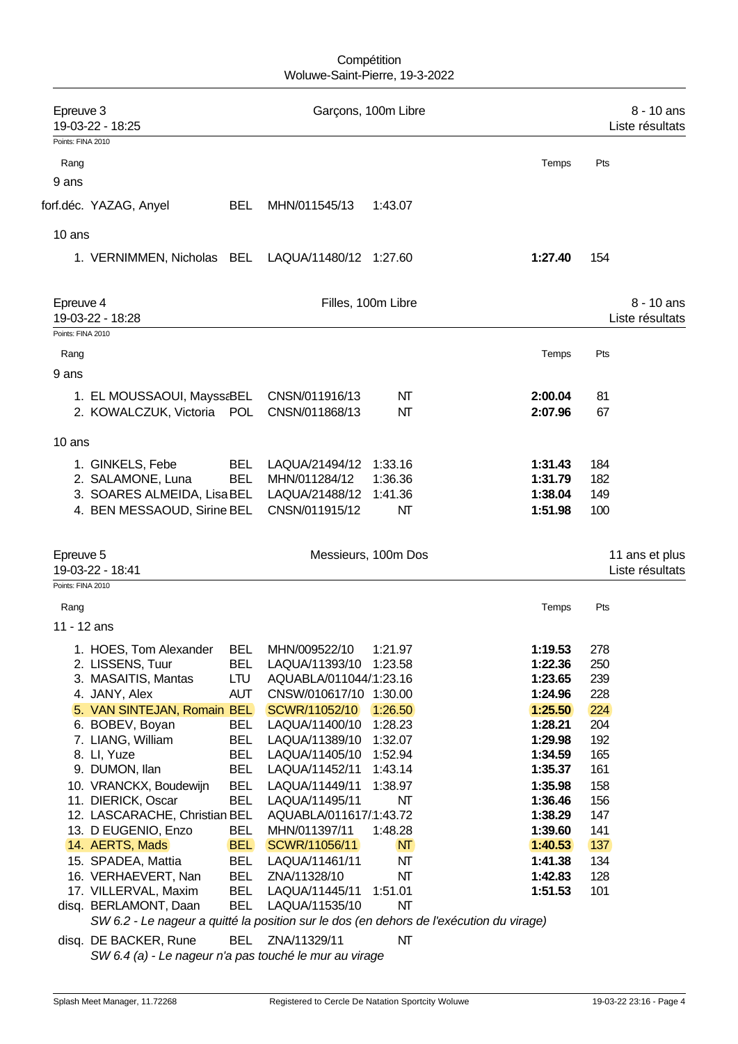## **Compétition** Woluwe-Saint-Pierre, 19-3-2022

| Epreuve 3<br>19-03-22 - 18:25 |                                                                                         |                          |                                  | Garçons, 100m Libre |                    |            | 8 - 10 ans<br>Liste résultats |
|-------------------------------|-----------------------------------------------------------------------------------------|--------------------------|----------------------------------|---------------------|--------------------|------------|-------------------------------|
| Points: FINA 2010             |                                                                                         |                          |                                  |                     |                    |            |                               |
| Rang                          |                                                                                         |                          |                                  |                     | Temps              | Pts        |                               |
| 9 ans                         |                                                                                         |                          |                                  |                     |                    |            |                               |
|                               | forf.déc. YAZAG, Anyel                                                                  | <b>BEL</b>               | MHN/011545/13                    | 1:43.07             |                    |            |                               |
|                               |                                                                                         |                          |                                  |                     |                    |            |                               |
| 10 ans                        |                                                                                         |                          |                                  |                     |                    |            |                               |
|                               | 1. VERNIMMEN, Nicholas BEL LAQUA/11480/12 1:27.60                                       |                          |                                  |                     | 1:27.40            | 154        |                               |
|                               |                                                                                         |                          |                                  |                     |                    |            |                               |
| Epreuve 4                     |                                                                                         |                          |                                  | Filles, 100m Libre  |                    |            | 8 - 10 ans                    |
| 19-03-22 - 18:28              |                                                                                         |                          |                                  |                     |                    |            | Liste résultats               |
| Points: FINA 2010             |                                                                                         |                          |                                  |                     |                    |            |                               |
| Rang                          |                                                                                         |                          |                                  |                     | Temps              | Pts        |                               |
| 9 ans                         |                                                                                         |                          |                                  |                     |                    |            |                               |
|                               |                                                                                         |                          |                                  |                     |                    |            |                               |
|                               | 1. EL MOUSSAOUI, MayssaBEL                                                              |                          | CNSN/011916/13                   | NΤ                  | 2:00.04            | 81         |                               |
|                               | 2. KOWALCZUK, Victoria POL                                                              |                          | CNSN/011868/13                   | NΤ                  | 2:07.96            | 67         |                               |
| 10 ans                        |                                                                                         |                          |                                  |                     |                    |            |                               |
|                               | 1. GINKELS, Febe                                                                        | <b>BEL</b>               | LAQUA/21494/12                   | 1:33.16             | 1:31.43            | 184        |                               |
|                               | 2. SALAMONE, Luna                                                                       | <b>BEL</b>               | MHN/011284/12                    | 1:36.36             | 1:31.79            | 182        |                               |
|                               | 3. SOARES ALMEIDA, LisaBEL                                                              |                          | LAQUA/21488/12                   | 1:41.36             | 1:38.04            | 149        |                               |
|                               | 4. BEN MESSAOUD, Sirine BEL                                                             |                          | CNSN/011915/12                   | NΤ                  | 1:51.98            | 100        |                               |
|                               |                                                                                         |                          |                                  |                     |                    |            |                               |
| Epreuve 5                     |                                                                                         |                          |                                  | Messieurs, 100m Dos |                    |            | 11 ans et plus                |
| 19-03-22 - 18:41              |                                                                                         |                          |                                  |                     |                    |            | Liste résultats               |
| Points: FINA 2010             |                                                                                         |                          |                                  |                     |                    |            |                               |
| Rang                          |                                                                                         |                          |                                  |                     | Temps              | Pts        |                               |
| 11 - 12 ans                   |                                                                                         |                          |                                  |                     |                    |            |                               |
|                               | 1. HOES, Tom Alexander                                                                  | <b>BEL</b>               | MHN/009522/10                    | 1:21.97             | 1:19.53            | 278        |                               |
|                               | 2. LISSENS, Tuur                                                                        | <b>BEL</b>               | LAQUA/11393/10                   | 1:23.58             | 1:22.36            | 250        |                               |
|                               | 3. MASAITIS, Mantas                                                                     | LTU                      | AQUABLA/011044/1:23.16           |                     | 1:23.65            | 239        |                               |
|                               | 4. JANY, Alex                                                                           | <b>AUT</b>               | CNSW/010617/10 1:30.00           |                     | 1:24.96            | 228        |                               |
|                               | 5. VAN SINTEJAN, Romain BEL                                                             |                          | SCWR/11052/10                    | 1:26.50             | 1:25.50            | 224        |                               |
|                               | 6. BOBEV, Boyan                                                                         | <b>BEL</b>               | LAQUA/11400/10                   | 1:28.23             | 1:28.21            | 204        |                               |
|                               | 7. LIANG, William<br>8. Ll, Yuze                                                        | <b>BEL</b><br><b>BEL</b> | LAQUA/11389/10                   | 1:32.07             | 1:29.98<br>1:34.59 | 192<br>165 |                               |
|                               | 9. DUMON, Ilan                                                                          | <b>BEL</b>               | LAQUA/11405/10<br>LAQUA/11452/11 | 1:52.94<br>1:43.14  | 1:35.37            | 161        |                               |
|                               | 10. VRANCKX, Boudewijn                                                                  | <b>BEL</b>               | LAQUA/11449/11                   | 1:38.97             | 1:35.98            | 158        |                               |
|                               | 11. DIERICK, Oscar                                                                      | <b>BEL</b>               | LAQUA/11495/11                   | NΤ                  | 1:36.46            | 156        |                               |
|                               | 12. LASCARACHE, Christian BEL                                                           |                          | AQUABLA/011617/1:43.72           |                     | 1:38.29            | 147        |                               |
|                               | 13. D EUGENIO, Enzo                                                                     | <b>BEL</b>               | MHN/011397/11                    | 1:48.28             | 1:39.60            | 141        |                               |
|                               | 14. AERTS, Mads                                                                         | <b>BEL</b>               | SCWR/11056/11                    | NT                  | 1:40.53            | 137        |                               |
|                               | 15. SPADEA, Mattia                                                                      | <b>BEL</b>               | LAQUA/11461/11                   | NΤ                  | 1:41.38            | 134        |                               |
|                               | 16. VERHAEVERT, Nan                                                                     | <b>BEL</b>               | ZNA/11328/10                     | NΤ                  | 1:42.83            | 128        |                               |
|                               | 17. VILLERVAL, Maxim<br>disq. BERLAMONT, Daan                                           | <b>BEL</b><br><b>BEL</b> | LAQUA/11445/11<br>LAQUA/11535/10 | 1:51.01<br>NΤ       | 1:51.53            | 101        |                               |
|                               | SW 6.2 - Le nageur a quitté la position sur le dos (en dehors de l'exécution du virage) |                          |                                  |                     |                    |            |                               |
|                               | disq. DE BACKER, Rune                                                                   | <b>BEL</b>               | ZNA/11329/11                     | NΤ                  |                    |            |                               |

*SW 6.4 (a) - Le nageur n'a pas touché le mur au virage*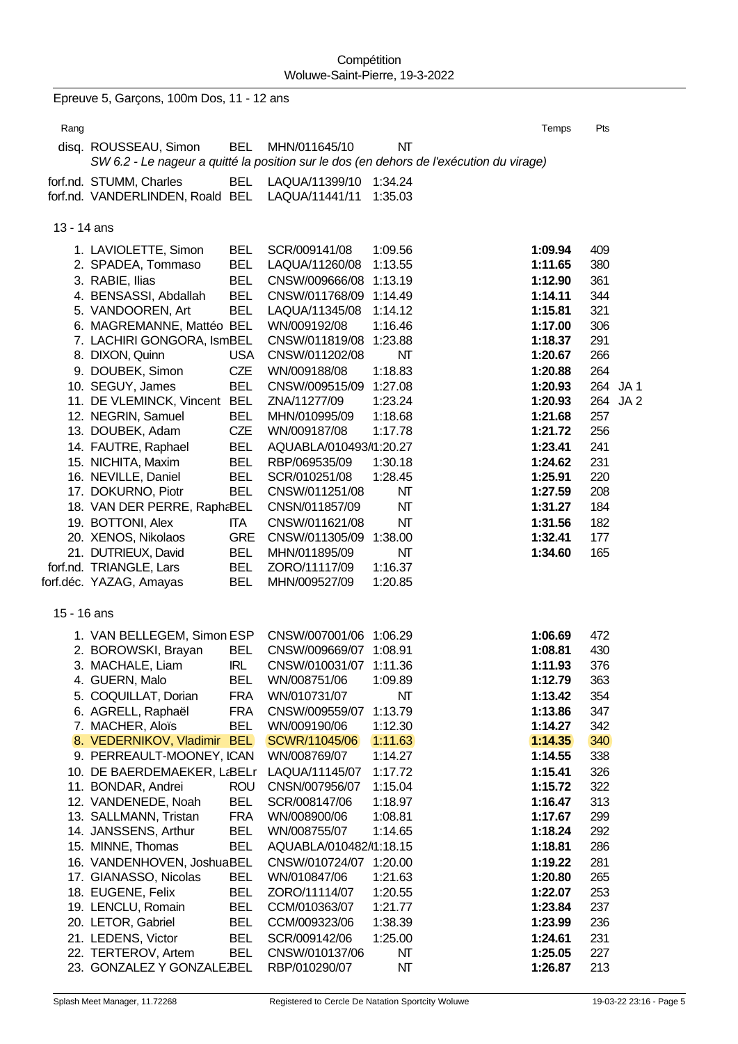|             | Epreuve 5, Garçons, 100m Dos, 11 - 12 ans                                                                        |                          |                                         |                    |                    |            |  |
|-------------|------------------------------------------------------------------------------------------------------------------|--------------------------|-----------------------------------------|--------------------|--------------------|------------|--|
| Rang        |                                                                                                                  |                          |                                         |                    | Temps              | Pts        |  |
|             |                                                                                                                  | <b>BEL</b>               | MHN/011645/10                           | NT                 |                    |            |  |
|             | disq. ROUSSEAU, Simon<br>SW 6.2 - Le nageur a quitté la position sur le dos (en dehors de l'exécution du virage) |                          |                                         |                    |                    |            |  |
|             |                                                                                                                  | <b>BEL</b>               | LAQUA/11399/10                          | 1:34.24            |                    |            |  |
|             | forf.nd. STUMM, Charles<br>forf.nd. VANDERLINDEN, Roald BEL                                                      |                          | LAQUA/11441/11                          | 1:35.03            |                    |            |  |
|             |                                                                                                                  |                          |                                         |                    |                    |            |  |
| 13 - 14 ans |                                                                                                                  |                          |                                         |                    |                    |            |  |
|             |                                                                                                                  |                          |                                         |                    |                    |            |  |
|             | 1. LAVIOLETTE, Simon<br>2. SPADEA, Tommaso                                                                       | <b>BEL</b><br><b>BEL</b> | SCR/009141/08<br>LAQUA/11260/08         | 1:09.56<br>1:13.55 | 1:09.94<br>1:11.65 | 409<br>380 |  |
|             | 3. RABIE, Ilias                                                                                                  | <b>BEL</b>               | CNSW/009666/08 1:13.19                  |                    | 1:12.90            | 361        |  |
|             | 4. BENSASSI, Abdallah                                                                                            | <b>BEL</b>               | CNSW/011768/09 1:14.49                  |                    | 1:14.11            | 344        |  |
|             | 5. VANDOOREN, Art                                                                                                | <b>BEL</b>               | LAQUA/11345/08                          | 1:14.12            | 1:15.81            | 321        |  |
|             | 6. MAGREMANNE, Mattéo BEL                                                                                        |                          | WN/009192/08                            | 1:16.46            | 1:17.00            | 306        |  |
|             | 7. LACHIRI GONGORA, IsmBEL                                                                                       |                          | CNSW/011819/08                          | 1:23.88            | 1:18.37            | 291        |  |
|             | 8. DIXON, Quinn                                                                                                  | <b>USA</b>               | CNSW/011202/08                          | NT                 | 1:20.67            | 266        |  |
|             | 9. DOUBEK, Simon                                                                                                 | <b>CZE</b>               | WN/009188/08                            | 1:18.83            | 1:20.88            | 264        |  |
|             | 10. SEGUY, James                                                                                                 | <b>BEL</b>               | CNSW/009515/09                          | 1:27.08            | 1:20.93            | 264 JA1    |  |
|             | 11. DE VLEMINCK, Vincent BEL                                                                                     |                          | ZNA/11277/09                            | 1:23.24            | 1:20.93            | 264 JA 2   |  |
|             | 12. NEGRIN, Samuel                                                                                               | <b>BEL</b>               | MHN/010995/09                           | 1:18.68            | 1:21.68            | 257        |  |
|             | 13. DOUBEK, Adam                                                                                                 | CZE                      | WN/009187/08                            | 1:17.78            | 1:21.72            | 256        |  |
|             | 14. FAUTRE, Raphael<br>15. NICHITA, Maxim                                                                        | <b>BEL</b><br><b>BEL</b> | AQUABLA/010493/1:20.27<br>RBP/069535/09 | 1:30.18            | 1:23.41<br>1:24.62 | 241<br>231 |  |
|             | 16. NEVILLE, Daniel                                                                                              | <b>BEL</b>               | SCR/010251/08                           | 1:28.45            | 1:25.91            | 220        |  |
|             | 17. DOKURNO, Piotr                                                                                               | <b>BEL</b>               | CNSW/011251/08                          | NΤ                 | 1:27.59            | 208        |  |
|             | 18. VAN DER PERRE, RaphaBEL                                                                                      |                          | CNSN/011857/09                          | NT                 | 1:31.27            | 184        |  |
|             | 19. BOTTONI, Alex                                                                                                | ITA                      | CNSW/011621/08                          | NT                 | 1:31.56            | 182        |  |
|             | 20. XENOS, Nikolaos                                                                                              | <b>GRE</b>               | CNSW/011305/09                          | 1:38.00            | 1:32.41            | 177        |  |
|             | 21. DUTRIEUX, David                                                                                              | <b>BEL</b>               | MHN/011895/09                           | NT                 | 1:34.60            | 165        |  |
|             | forf.nd. TRIANGLE, Lars                                                                                          | <b>BEL</b>               | ZORO/11117/09                           | 1:16.37            |                    |            |  |
|             | forf.déc. YAZAG, Amayas                                                                                          | <b>BEL</b>               | MHN/009527/09                           | 1:20.85            |                    |            |  |
| 15 - 16 ans |                                                                                                                  |                          |                                         |                    |                    |            |  |
|             | 1. VAN BELLEGEM, Simon ESP                                                                                       |                          | CNSW/007001/06 1:06.29                  |                    | 1:06.69            | 472        |  |
|             | 2. BOROWSKI, Brayan                                                                                              | <b>BEL</b>               | CNSW/009669/07                          | 1:08.91            | 1:08.81            | 430        |  |
|             | 3. MACHALE, Liam                                                                                                 | IRL                      | CNSW/010031/07                          | 1:11.36            | 1:11.93            | 376        |  |
|             | 4. GUERN, Malo                                                                                                   | BEL                      | WN/008751/06                            | 1:09.89            | 1:12.79            | 363        |  |
|             | 5. COQUILLAT, Dorian                                                                                             | <b>FRA</b>               | WN/010731/07                            | NT                 | 1:13.42            | 354        |  |
|             | 6. AGRELL, Raphaël                                                                                               | <b>FRA</b>               | CNSW/009559/07                          | 1:13.79            | 1:13.86            | 347        |  |
|             | 7. MACHER, Aloïs                                                                                                 | <b>BEL</b>               | WN/009190/06                            | 1:12.30            | 1:14.27            | 342        |  |
|             | 8. VEDERNIKOV, Vladimir                                                                                          | <b>BEL</b>               | SCWR/11045/06                           | 1:11.63            | 1:14.35            | 340        |  |
|             | 9. PERREAULT-MOONEY, ICAN                                                                                        |                          | WN/008769/07                            | 1:14.27            | 1:14.55<br>1:15.41 | 338        |  |
|             | 10. DE BAERDEMAEKER, L&BELr<br>11. BONDAR, Andrei                                                                | <b>ROU</b>               | LAQUA/11145/07<br>CNSN/007956/07        | 1:17.72<br>1:15.04 | 1:15.72            | 326<br>322 |  |
|             | 12. VANDENEDE, Noah                                                                                              | <b>BEL</b>               | SCR/008147/06                           | 1:18.97            | 1:16.47            | 313        |  |
|             | 13. SALLMANN, Tristan                                                                                            | <b>FRA</b>               | WN/008900/06                            | 1:08.81            | 1:17.67            | 299        |  |
|             | 14. JANSSENS, Arthur                                                                                             | BEL                      | WN/008755/07                            | 1:14.65            | 1:18.24            | 292        |  |
|             | 15. MINNE, Thomas                                                                                                | <b>BEL</b>               | AQUABLA/010482/1:18.15                  |                    | 1:18.81            | 286        |  |
|             | 16. VANDENHOVEN, JoshuaBEL                                                                                       |                          | CNSW/010724/07 1:20.00                  |                    | 1:19.22            | 281        |  |
|             | 17. GIANASSO, Nicolas                                                                                            | <b>BEL</b>               | WN/010847/06                            | 1:21.63            | 1:20.80            | 265        |  |
|             | 18. EUGENE, Felix                                                                                                | <b>BEL</b>               | ZORO/11114/07                           | 1:20.55            | 1:22.07            | 253        |  |
|             | 19. LENCLU, Romain                                                                                               | <b>BEL</b>               | CCM/010363/07                           | 1:21.77            | 1:23.84            | 237        |  |
|             | 20. LETOR, Gabriel                                                                                               | <b>BEL</b>               | CCM/009323/06                           | 1:38.39            | 1:23.99            | 236        |  |
|             | 21. LEDENS, Victor<br>22. TERTEROV, Artem                                                                        | <b>BEL</b>               | SCR/009142/06<br>CNSW/010137/06         | 1:25.00<br>NΤ      | 1:24.61            | 231<br>227 |  |
|             | 23. GONZALEZ Y GONZALEJBEL                                                                                       | BEL                      | RBP/010290/07                           | NT                 | 1:25.05<br>1:26.87 | 213        |  |
|             |                                                                                                                  |                          |                                         |                    |                    |            |  |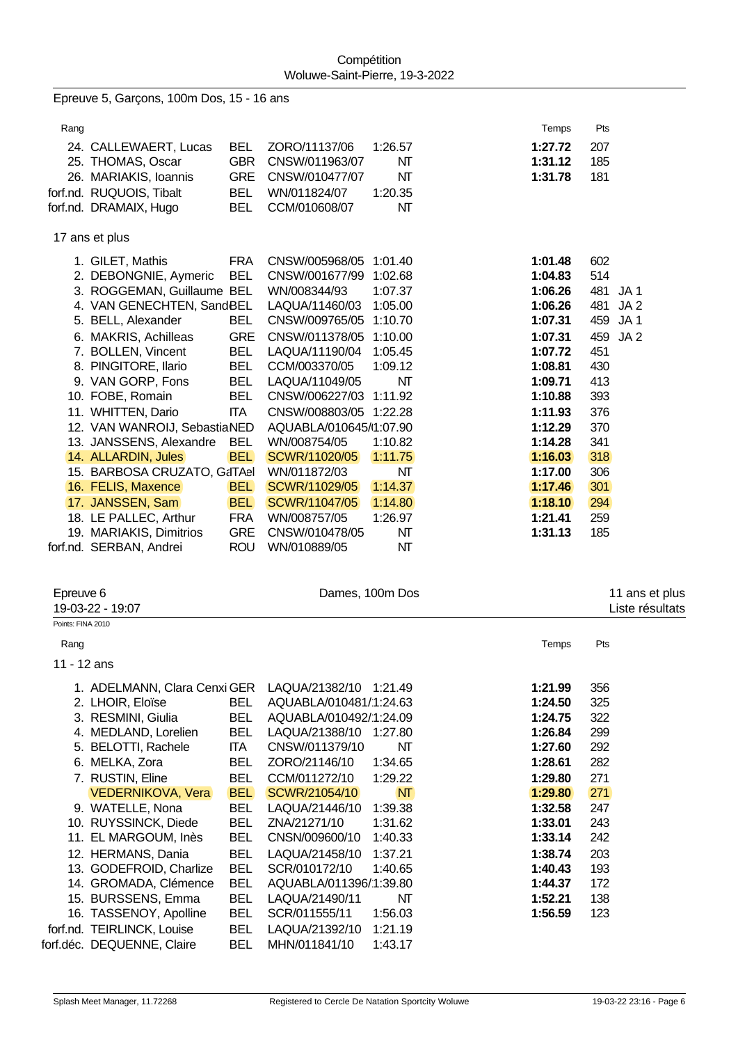Epreuve 5, Garçons, 100m Dos, 15 - 16 ans

| Rang |                                            |                          |                                  |          | Temps   | Pts                    |
|------|--------------------------------------------|--------------------------|----------------------------------|----------|---------|------------------------|
|      | 24. CALLEWAERT, Lucas                      | <b>BEL</b><br><b>GBR</b> | ZORO/11137/06                    | 1:26.57  | 1:27.72 | 207<br>185             |
|      | 25. THOMAS, Oscar<br>26. MARIAKIS, Ioannis | <b>GRE</b>               | CNSW/011963/07<br>CNSW/010477/07 | NΤ<br>NΤ | 1:31.12 | 181                    |
|      | forf.nd. RUQUOIS, Tibalt                   | <b>BEL</b>               |                                  | 1:20.35  | 1:31.78 |                        |
|      | forf.nd. DRAMAIX, Hugo                     | <b>BEL</b>               | WN/011824/07<br>CCM/010608/07    | NΤ       |         |                        |
|      |                                            |                          |                                  |          |         |                        |
|      | 17 ans et plus                             |                          |                                  |          |         |                        |
|      | 1. GILET, Mathis                           | <b>FRA</b>               | CNSW/005968/05                   | 1:01.40  | 1:01.48 | 602                    |
|      | 2. DEBONGNIE, Aymeric                      | <b>BEL</b>               | CNSW/001677/99                   | 1:02.68  | 1:04.83 | 514                    |
|      | 3. ROGGEMAN, Guillaume BEL                 |                          | WN/008344/93                     | 1:07.37  | 1:06.26 | 481<br>JA1             |
|      | 4. VAN GENECHTEN, SandBEL                  |                          | LAQUA/11460/03                   | 1:05.00  | 1:06.26 | 481<br>JA <sub>2</sub> |
|      | 5. BELL, Alexander                         | <b>BEL</b>               | CNSW/009765/05                   | 1:10.70  | 1:07.31 | 459<br>JA1             |
|      | 6. MAKRIS, Achilleas                       | <b>GRE</b>               | CNSW/011378/05                   | 1:10.00  | 1:07.31 | JA2<br>459             |
|      | 7. BOLLEN, Vincent                         | <b>BEL</b>               | LAQUA/11190/04                   | 1:05.45  | 1:07.72 | 451                    |
|      | 8. PINGITORE, Ilario                       | <b>BEL</b>               | CCM/003370/05                    | 1:09.12  | 1:08.81 | 430                    |
|      | 9. VAN GORP, Fons                          | <b>BEL</b>               | LAQUA/11049/05                   | NΤ       | 1:09.71 | 413                    |
|      | 10. FOBE, Romain                           | <b>BEL</b>               | CNSW/006227/03                   | 1:11.92  | 1:10.88 | 393                    |
|      | 11. WHITTEN, Dario                         | <b>ITA</b>               | CNSW/008803/05 1:22.28           |          | 1:11.93 | 376                    |
|      | 12. VAN WANROIJ, SebastiaNED               |                          | AQUABLA/010645/1:07.90           |          | 1:12.29 | 370                    |
|      | 13. JANSSENS, Alexandre                    | <b>BEL</b>               | WN/008754/05                     | 1:10.82  | 1:14.28 | 341                    |
|      | 14. ALLARDIN, Jules                        | <b>BEL</b>               | SCWR/11020/05                    | 1:11.75  | 1:16.03 | 318                    |
|      | 15. BARBOSA CRUZATO, G&ITAel               |                          | WN/011872/03                     | NΤ       | 1:17.00 | 306                    |
|      | 16. FELIS, Maxence                         | <b>BEL</b>               | SCWR/11029/05                    | 1:14.37  | 1:17.46 | 301                    |
|      | 17. JANSSEN, Sam                           | <b>BEL</b>               | SCWR/11047/05                    | 1:14.80  | 1:18.10 | 294                    |
|      | 18. LE PALLEC, Arthur                      | <b>FRA</b>               | WN/008757/05                     | 1:26.97  | 1:21.41 | 259                    |
|      | 19. MARIAKIS, Dimitrios                    | <b>GRE</b>               | CNSW/010478/05                   | NΤ       | 1:31.13 | 185                    |
|      | forf.nd. SERBAN, Andrei                    | <b>ROU</b>               | WN/010889/05                     | NΤ       |         |                        |

| Epreuve 6         | 19-03-22 - 19:07             |            | Dames, 100m Dos        |           |         | 11 ans et plus<br>Liste résultats |
|-------------------|------------------------------|------------|------------------------|-----------|---------|-----------------------------------|
| Points: FINA 2010 |                              |            |                        |           |         |                                   |
| Rang              |                              |            |                        |           | Temps   | Pts                               |
| 11 - 12 ans       |                              |            |                        |           |         |                                   |
|                   | 1. ADELMANN, Clara Cenxi GER |            | LAQUA/21382/10 1:21.49 |           | 1:21.99 | 356                               |
|                   | 2. LHOIR, Eloïse             | <b>BEL</b> | AQUABLA/010481/1:24.63 |           | 1:24.50 | 325                               |
|                   | 3. RESMINI, Giulia           | <b>BEL</b> | AQUABLA/010492/1:24.09 |           | 1:24.75 | 322                               |
|                   | 4. MEDLAND, Lorelien         | <b>BEL</b> | LAQUA/21388/10         | 1:27.80   | 1:26.84 | 299                               |
|                   | 5. BELOTTI, Rachele          | ITA I      | CNSW/011379/10         | NΤ        | 1:27.60 | 292                               |
|                   | 6. MELKA, Zora               | <b>BEL</b> | ZORO/21146/10          | 1:34.65   | 1:28.61 | 282                               |
|                   | 7. RUSTIN, Eline             | <b>BEL</b> | CCM/011272/10          | 1:29.22   | 1:29.80 | 271                               |
|                   | <b>VEDERNIKOVA, Vera</b>     | <b>BEL</b> | SCWR/21054/10          | <b>NT</b> | 1:29.80 | 271                               |
|                   | 9. WATELLE, Nona             | BEL        | LAQUA/21446/10         | 1:39.38   | 1:32.58 | 247                               |
|                   | 10. RUYSSINCK, Diede         | BEL        | ZNA/21271/10           | 1:31.62   | 1:33.01 | 243                               |
|                   | 11. EL MARGOUM, Inès         | <b>BEL</b> | CNSN/009600/10         | 1:40.33   | 1:33.14 | 242                               |
|                   | 12. HERMANS, Dania           | <b>BEL</b> | LAQUA/21458/10         | 1:37.21   | 1:38.74 | 203                               |
|                   | 13. GODEFROID, Charlize      | <b>BEL</b> | SCR/010172/10          | 1:40.65   | 1:40.43 | 193                               |
|                   | 14. GROMADA, Clémence        | <b>BEL</b> | AQUABLA/011396/1:39.80 |           | 1:44.37 | 172                               |
|                   | 15. BURSSENS, Emma           | <b>BEL</b> | LAQUA/21490/11         | NT        | 1:52.21 | 138                               |
|                   | 16. TASSENOY, Apolline       | <b>BEL</b> | SCR/011555/11          | 1:56.03   | 1:56.59 | 123                               |
|                   | forf.nd. TEIRLINCK, Louise   | <b>BEL</b> | LAQUA/21392/10         | 1:21.19   |         |                                   |
|                   | forf.déc. DEQUENNE, Claire   | <b>BEL</b> | MHN/011841/10          | 1:43.17   |         |                                   |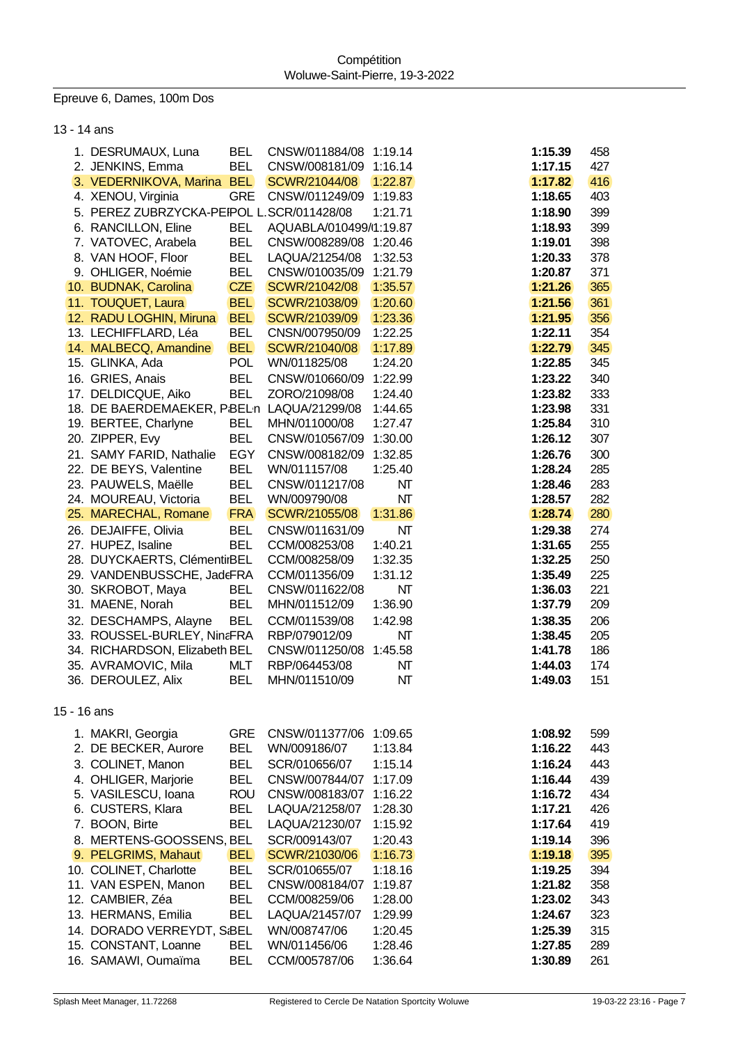Epreuve 6, Dames, 100m Dos

13 - 14 ans

|             | 1. DESRUMAUX, Luna                        |            |                        |         | 1:15.39 |     |
|-------------|-------------------------------------------|------------|------------------------|---------|---------|-----|
|             |                                           | <b>BEL</b> | CNSW/011884/08         | 1:19.14 |         | 458 |
|             | 2. JENKINS, Emma                          | <b>BEL</b> | CNSW/008181/09         | 1:16.14 | 1:17.15 | 427 |
|             | 3. VEDERNIKOVA, Marina BEL                |            | SCWR/21044/08          | 1:22.87 | 1:17.82 | 416 |
|             | 4. XENOU, Virginia                        | <b>GRE</b> | CNSW/011249/09         | 1:19.83 | 1:18.65 | 403 |
|             | 5. PEREZ ZUBRZYCKA-PEIPOL L.SCR/011428/08 |            |                        | 1:21.71 | 1:18.90 | 399 |
|             | 6. RANCILLON, Eline                       | <b>BEL</b> | AQUABLA/010499/1:19.87 |         | 1:18.93 | 399 |
|             | 7. VATOVEC, Arabela                       | <b>BEL</b> | CNSW/008289/08         | 1:20.46 | 1:19.01 | 398 |
|             | 8. VAN HOOF, Floor                        | <b>BEL</b> | LAQUA/21254/08         | 1:32.53 | 1:20.33 | 378 |
|             | 9. OHLIGER, Noémie                        | <b>BEL</b> | CNSW/010035/09         | 1:21.79 | 1:20.87 | 371 |
|             | 10. BUDNAK, Carolina                      | <b>CZE</b> | SCWR/21042/08          | 1:35.57 | 1:21.26 | 365 |
|             | 11. TOUQUET, Laura                        | <b>BEL</b> | SCWR/21038/09          | 1:20.60 | 1:21.56 | 361 |
|             | 12. RADU LOGHIN, Miruna                   | <b>BEL</b> | SCWR/21039/09          | 1:23.36 | 1:21.95 | 356 |
|             | 13. LECHIFFLARD, Léa                      | <b>BEL</b> | CNSN/007950/09         | 1:22.25 | 1:22.11 | 354 |
|             |                                           | <b>BEL</b> |                        |         |         |     |
|             | 14. MALBECQ, Amandine                     |            | SCWR/21040/08          | 1:17.89 | 1:22.79 | 345 |
|             | 15. GLINKA, Ada                           | <b>POL</b> | WN/011825/08           | 1:24.20 | 1:22.85 | 345 |
|             | 16. GRIES, Anais                          | <b>BEL</b> | CNSW/010660/09         | 1:22.99 | 1:23.22 | 340 |
|             | 17. DELDICQUE, Aiko                       | <b>BEL</b> | ZORO/21098/08          | 1:24.40 | 1:23.82 | 333 |
|             | 18. DE BAERDEMAEKER, PBELn LAQUA/21299/08 |            |                        | 1:44.65 | 1:23.98 | 331 |
|             | 19. BERTEE, Charlyne                      | <b>BEL</b> | MHN/011000/08          | 1:27.47 | 1:25.84 | 310 |
|             | 20. ZIPPER, Evy                           | <b>BEL</b> | CNSW/010567/09         | 1:30.00 | 1:26.12 | 307 |
|             | 21. SAMY FARID, Nathalie                  | <b>EGY</b> | CNSW/008182/09         | 1:32.85 | 1:26.76 | 300 |
|             | 22. DE BEYS, Valentine                    | <b>BEL</b> | WN/011157/08           | 1:25.40 | 1:28.24 | 285 |
|             | 23. PAUWELS, Maëlle                       | <b>BEL</b> | CNSW/011217/08         | NΤ      | 1:28.46 | 283 |
|             | 24. MOUREAU, Victoria                     | <b>BEL</b> | WN/009790/08           | NΤ      | 1:28.57 | 282 |
|             | 25. MARECHAL, Romane                      | <b>FRA</b> | SCWR/21055/08          | 1:31.86 | 1:28.74 | 280 |
|             | 26. DEJAIFFE, Olivia                      | <b>BEL</b> | CNSW/011631/09         | NT      | 1:29.38 | 274 |
|             | 27. HUPEZ, Isaline                        | <b>BEL</b> | CCM/008253/08          | 1:40.21 | 1:31.65 | 255 |
|             |                                           |            |                        |         |         |     |
|             | 28. DUYCKAERTS, ClémentirBEL              |            | CCM/008258/09          | 1:32.35 | 1:32.25 | 250 |
|             | 29. VANDENBUSSCHE, JadeFRA                |            | CCM/011356/09          | 1:31.12 | 1:35.49 | 225 |
|             | 30. SKROBOT, Maya                         | BEL        | CNSW/011622/08         | NT      | 1:36.03 | 221 |
|             | 31. MAENE, Norah                          | <b>BEL</b> | MHN/011512/09          | 1:36.90 | 1:37.79 | 209 |
|             | 32. DESCHAMPS, Alayne                     | <b>BEL</b> | CCM/011539/08          | 1:42.98 | 1:38.35 | 206 |
|             | 33. ROUSSEL-BURLEY, NinaFRA               |            | RBP/079012/09          | NΤ      | 1:38.45 | 205 |
|             | 34. RICHARDSON, Elizabeth BEL             |            | CNSW/011250/08         | 1:45.58 | 1:41.78 | 186 |
|             | 35. AVRAMOVIC, Mila                       | <b>MLT</b> | RBP/064453/08          | NΤ      | 1:44.03 | 174 |
|             | 36. DEROULEZ, Alix                        | <b>BEL</b> | MHN/011510/09          | NT      | 1:49.03 | 151 |
|             |                                           |            |                        |         |         |     |
| 15 - 16 ans |                                           |            |                        |         |         |     |
|             |                                           |            |                        |         |         |     |
|             | 1. MAKRI, Georgia                         | <b>GRE</b> | CNSW/011377/06         | 1:09.65 | 1:08.92 | 599 |
|             | 2. DE BECKER, Aurore                      | <b>BEL</b> | WN/009186/07           | 1:13.84 | 1:16.22 | 443 |
|             | 3. COLINET, Manon                         | <b>BEL</b> | SCR/010656/07          | 1:15.14 | 1:16.24 | 443 |
|             | 4. OHLIGER, Marjorie                      | <b>BEL</b> | CNSW/007844/07         | 1:17.09 | 1:16.44 | 439 |
|             | 5. VASILESCU, Ioana                       | <b>ROU</b> | CNSW/008183/07         | 1:16.22 | 1:16.72 | 434 |
|             | 6. CUSTERS, Klara                         | BEL        | LAQUA/21258/07         | 1:28.30 | 1:17.21 | 426 |
|             | 7. BOON, Birte                            | <b>BEL</b> | LAQUA/21230/07         | 1:15.92 | 1:17.64 | 419 |
|             | 8. MERTENS-GOOSSENS, BEL                  |            | SCR/009143/07          | 1:20.43 | 1:19.14 | 396 |
|             | 9. PELGRIMS, Mahaut                       | <b>BEL</b> | SCWR/21030/06          | 1:16.73 | 1:19.18 | 395 |
|             | 10. COLINET, Charlotte                    | <b>BEL</b> | SCR/010655/07          | 1:18.16 | 1:19.25 | 394 |
|             | 11. VAN ESPEN, Manon                      | <b>BEL</b> | CNSW/008184/07         | 1:19.87 | 1:21.82 | 358 |
|             | 12. CAMBIER, Zéa                          | <b>BEL</b> | CCM/008259/06          | 1:28.00 | 1:23.02 | 343 |
|             | 13. HERMANS, Emilia                       | <b>BEL</b> | LAQUA/21457/07         | 1:29.99 | 1:24.67 | 323 |
|             |                                           |            |                        |         |         |     |
|             | 14. DORADO VERREYDT, S:BEL                |            | WN/008747/06           | 1:20.45 | 1:25.39 | 315 |
|             | 15. CONSTANT, Loanne                      | <b>BEL</b> | WN/011456/06           | 1:28.46 | 1:27.85 | 289 |
|             | 16. SAMAWI, Oumaïma                       | <b>BEL</b> | CCM/005787/06          | 1:36.64 | 1:30.89 | 261 |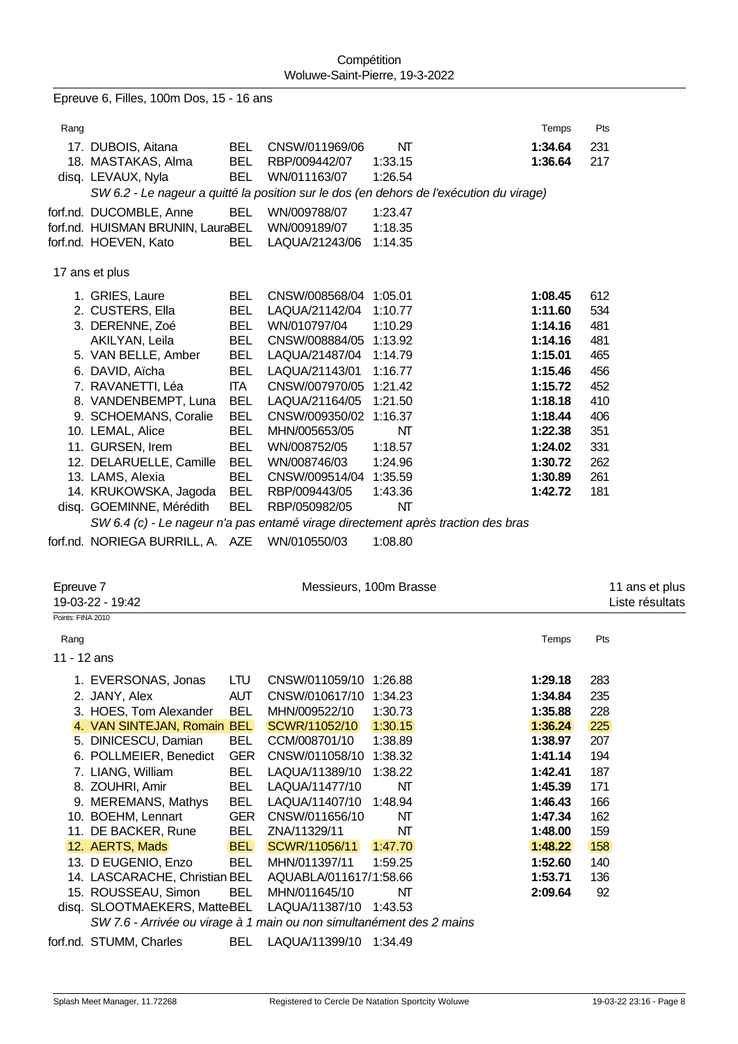| Epreuve 6, Filles, 100m Dos, 15 - 16 ans |                                                                                                                                                           |                                                      |                                                                    |                                          |                                          |                          |  |
|------------------------------------------|-----------------------------------------------------------------------------------------------------------------------------------------------------------|------------------------------------------------------|--------------------------------------------------------------------|------------------------------------------|------------------------------------------|--------------------------|--|
| Rang                                     |                                                                                                                                                           |                                                      |                                                                    |                                          | Temps                                    | Pts                      |  |
|                                          | 17. DUBOIS, Aitana<br>18. MASTAKAS, Alma<br>disq. LEVAUX, Nyla<br>SW 6.2 - Le nageur a quitté la position sur le dos (en dehors de l'exécution du virage) | BEL.<br><b>BEL</b><br><b>BEL</b>                     | CNSW/011969/06<br>RBP/009442/07<br>WN/011163/07                    | NΤ<br>1:33.15<br>1:26.54                 | 1:34.64<br>1:36.64                       | 231<br>217               |  |
|                                          | forf.nd. DUCOMBLE, Anne<br>forf.nd. HUISMAN BRUNIN, LauraBEL<br>forf.nd. HOEVEN, Kato                                                                     | BEL<br><b>BEL</b>                                    | WN/009788/07<br>WN/009189/07<br>LAQUA/21243/06                     | 1:23.47<br>1:18.35<br>1:14.35            |                                          |                          |  |
|                                          | 17 ans et plus                                                                                                                                            |                                                      |                                                                    |                                          |                                          |                          |  |
|                                          | 1. GRIES, Laure<br>2. CUSTERS, Ella<br>3. DERENNE, Zoé<br>AKILYAN, Leila                                                                                  | <b>BEL</b><br><b>BEL</b><br><b>BEL</b><br><b>BEL</b> | CNSW/008568/04<br>LAQUA/21142/04<br>WN/010797/04<br>CNSW/008884/05 | 1:05.01<br>1:10.77<br>1:10.29<br>1:13.92 | 1:08.45<br>1:11.60<br>1:14.16<br>1:14.16 | 612<br>534<br>481<br>481 |  |
|                                          | 5. VAN BELLE, Amber<br>6. DAVID, Aïcha<br>7. RAVANETTI, Léa                                                                                               | <b>BEL</b><br><b>BEL</b><br>ITA I                    | LAQUA/21487/04<br>LAQUA/21143/01<br>CNSW/007970/05                 | 1:14.79<br>1:16.77<br>1:21.42            | 1:15.01<br>1:15.46<br>1:15.72            | 465<br>456<br>452        |  |
|                                          | 8. VANDENBEMPT, Luna<br>9. SCHOEMANS, Coralie<br>10. LEMAL, Alice                                                                                         | <b>BEL</b><br><b>BEL</b><br><b>BEL</b>               | LAQUA/21164/05<br>CNSW/009350/02<br>MHN/005653/05                  | 1:21.50<br>1:16.37<br>NΤ                 | 1:18.18<br>1:18.44<br>1:22.38            | 410<br>406<br>351        |  |
|                                          | 11. GURSEN, Irem<br>12. DELARUELLE, Camille<br>13. LAMS, Alexia                                                                                           | <b>BEL</b><br><b>BEL</b><br><b>BEL</b>               | WN/008752/05<br>WN/008746/03<br>CNSW/009514/04                     | 1:18.57<br>1:24.96<br>1:35.59            | 1:24.02<br>1:30.72<br>1:30.89            | 331<br>262<br>261        |  |
|                                          | 14. KRUKOWSKA, Jagoda<br>disq. GOEMINNE, Mérédith<br>SW 6.4 (c) - Le nageur n'a pas entamé virage directement après traction des bras                     | <b>BEL</b><br><b>BEL</b>                             | RBP/009443/05<br>RBP/050982/05                                     | 1:43.36<br>NT                            | 1:42.72                                  | 181                      |  |

forf.nd. NORIEGA BURRILL, A. AZE WI

| 'N/010550/03 | 1:08.80 |
|--------------|---------|
|--------------|---------|

| Epreuve 7         | 19-03-22 - 19:42                                                     |            |                        | Messieurs, 100m Brasse |         | 11 ans et plus<br>Liste résultats |
|-------------------|----------------------------------------------------------------------|------------|------------------------|------------------------|---------|-----------------------------------|
| Points: FINA 2010 |                                                                      |            |                        |                        |         |                                   |
| Rang              |                                                                      |            |                        |                        | Temps   | Pts                               |
| 11 - 12 ans       |                                                                      |            |                        |                        |         |                                   |
|                   | 1. EVERSONAS, Jonas                                                  | LTU.       | CNSW/011059/10         | 1:26.88                | 1:29.18 | 283                               |
|                   | 2. JANY, Alex                                                        | <b>AUT</b> | CNSW/010617/10         | 1:34.23                | 1:34.84 | 235                               |
|                   | 3. HOES, Tom Alexander                                               | <b>BEL</b> | MHN/009522/10          | 1:30.73                | 1:35.88 | 228                               |
|                   | 4. VAN SINTEJAN, Romain BEL                                          |            | SCWR/11052/10          | 1:30.15                | 1:36.24 | 225                               |
|                   | 5. DINICESCU, Damian                                                 | <b>BEL</b> | CCM/008701/10          | 1:38.89                | 1:38.97 | 207                               |
|                   | 6. POLLMEIER, Benedict                                               | <b>GER</b> | CNSW/011058/10         | 1:38.32                | 1:41.14 | 194                               |
|                   | 7. LIANG, William                                                    | <b>BEL</b> | LAQUA/11389/10         | 1:38.22                | 1:42.41 | 187                               |
|                   | 8. ZOUHRI, Amir                                                      | <b>BEL</b> | LAQUA/11477/10         | NΤ                     | 1:45.39 | 171                               |
|                   | 9. MEREMANS, Mathys                                                  | <b>BEL</b> | LAQUA/11407/10         | 1:48.94                | 1:46.43 | 166                               |
|                   | 10. BOEHM, Lennart                                                   | <b>GER</b> | CNSW/011656/10         | NΤ                     | 1:47.34 | 162                               |
|                   | 11. DE BACKER, Rune                                                  | BEL        | ZNA/11329/11           | NΤ                     | 1:48.00 | 159                               |
|                   | 12. AERTS, Mads                                                      | <b>BEL</b> | SCWR/11056/11          | 1:47.70                | 1:48.22 | 158                               |
|                   | 13. D EUGENIO, Enzo                                                  | <b>BEL</b> | MHN/011397/11          | 1:59.25                | 1:52.60 | 140                               |
|                   | 14. LASCARACHE, Christian BEL                                        |            | AQUABLA/011617/1:58.66 |                        | 1:53.71 | 136                               |
|                   | 15. ROUSSEAU, Simon                                                  | BEL        | MHN/011645/10          | NΤ                     | 2:09.64 | 92                                |
|                   | disq. SLOOTMAEKERS, MatteBEL LAQUA/11387/10                          |            |                        | 1:43.53                |         |                                   |
|                   | SW 7.6 - Arrivée ou virage à 1 main ou non simultanément des 2 mains |            |                        |                        |         |                                   |

forf.nd. STUMM, Charles BEL LAQUA/11399/10 1:34.49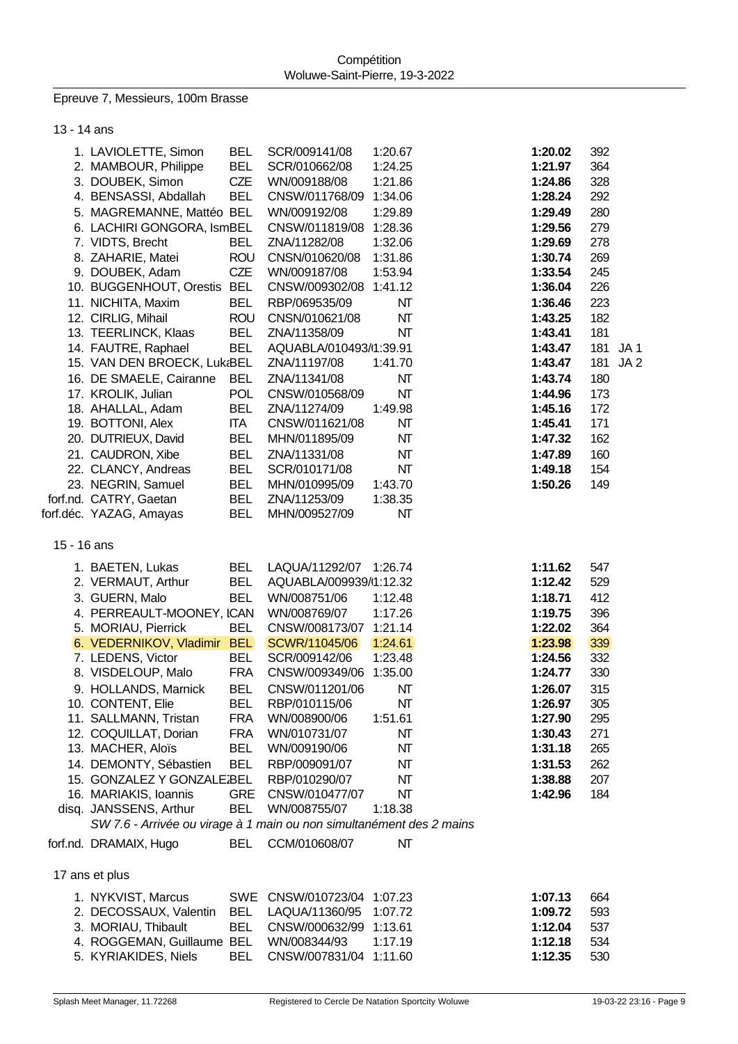Epreuve 7, Messieurs, 100m Brasse

13 - 14 ans

|             | 1. LAVIOLETTE, Simon                                                 | <b>BEL</b> | SCR/009141/08          | 1:20.67 | 1:20.02 | 392 |                 |
|-------------|----------------------------------------------------------------------|------------|------------------------|---------|---------|-----|-----------------|
|             | 2. MAMBOUR, Philippe                                                 | <b>BEL</b> | SCR/010662/08          | 1:24.25 | 1:21.97 | 364 |                 |
|             | 3. DOUBEK, Simon                                                     | CZE        | WN/009188/08           | 1:21.86 | 1:24.86 | 328 |                 |
|             | 4. BENSASSI, Abdallah                                                | <b>BEL</b> | CNSW/011768/09         | 1:34.06 | 1:28.24 | 292 |                 |
|             | 5. MAGREMANNE, Mattéo BEL                                            |            | WN/009192/08           | 1:29.89 | 1:29.49 | 280 |                 |
|             | 6. LACHIRI GONGORA, IsmBEL                                           |            | CNSW/011819/08         | 1:28.36 | 1:29.56 | 279 |                 |
|             | 7. VIDTS, Brecht                                                     | <b>BEL</b> | ZNA/11282/08           | 1:32.06 | 1:29.69 | 278 |                 |
|             | 8. ZAHARIE, Matei                                                    | <b>ROU</b> | CNSN/010620/08         | 1:31.86 | 1:30.74 | 269 |                 |
|             | 9. DOUBEK, Adam                                                      | CZE        | WN/009187/08           | 1:53.94 | 1:33.54 | 245 |                 |
|             | 10. BUGGENHOUT, Orestis BEL                                          |            | CNSW/009302/08         | 1:41.12 | 1:36.04 | 226 |                 |
|             | 11. NICHITA, Maxim                                                   | <b>BEL</b> | RBP/069535/09          | NΤ      | 1:36.46 | 223 |                 |
|             | 12. CIRLIG, Mihail                                                   | <b>ROU</b> | CNSN/010621/08         | NT      | 1:43.25 | 182 |                 |
|             | 13. TEERLINCK, Klaas                                                 | <b>BEL</b> | ZNA/11358/09           | NΤ      | 1:43.41 | 181 |                 |
|             | 14. FAUTRE, Raphael                                                  | <b>BEL</b> | AQUABLA/010493/1:39.91 |         | 1:43.47 | 181 | JA1             |
|             | 15. VAN DEN BROECK, Luk BEL                                          |            | ZNA/11197/08           | 1:41.70 | 1:43.47 | 181 | JA <sub>2</sub> |
|             | 16. DE SMAELE, Cairanne                                              | <b>BEL</b> | ZNA/11341/08           | NT      | 1:43.74 | 180 |                 |
|             | 17. KROLIK, Julian                                                   | <b>POL</b> | CNSW/010568/09         | NT      | 1:44.96 | 173 |                 |
|             | 18. AHALLAL, Adam                                                    | <b>BEL</b> | ZNA/11274/09           | 1:49.98 | 1:45.16 | 172 |                 |
|             | 19. BOTTONI, Alex                                                    | <b>ITA</b> | CNSW/011621/08         | NT      | 1:45.41 | 171 |                 |
|             | 20. DUTRIEUX, David                                                  | <b>BEL</b> | MHN/011895/09          | NT      | 1:47.32 | 162 |                 |
|             | 21. CAUDRON, Xibe                                                    | <b>BEL</b> | ZNA/11331/08           | NT      | 1:47.89 | 160 |                 |
|             | 22. CLANCY, Andreas                                                  | <b>BEL</b> | SCR/010171/08          | NT      | 1:49.18 | 154 |                 |
|             | 23. NEGRIN, Samuel                                                   | <b>BEL</b> | MHN/010995/09          | 1:43.70 | 1:50.26 | 149 |                 |
|             | forf.nd. CATRY, Gaetan                                               | <b>BEL</b> | ZNA/11253/09           | 1:38.35 |         |     |                 |
|             | forf.déc. YAZAG, Amayas                                              | <b>BEL</b> | MHN/009527/09          | NT      |         |     |                 |
| 15 - 16 ans |                                                                      |            |                        |         |         |     |                 |
|             | 1. BAETEN, Lukas                                                     | <b>BEL</b> | LAQUA/11292/07         | 1:26.74 | 1:11.62 | 547 |                 |
|             | 2. VERMAUT, Arthur                                                   | <b>BEL</b> | AQUABLA/009939/1:12.32 |         | 1:12.42 | 529 |                 |
|             | 3. GUERN, Malo                                                       | <b>BEL</b> | WN/008751/06           | 1:12.48 | 1:18.71 | 412 |                 |
|             | 4. PERREAULT-MOONEY, ICAN                                            |            | WN/008769/07           | 1:17.26 | 1:19.75 | 396 |                 |
|             | 5. MORIAU, Pierrick                                                  | <b>BEL</b> | CNSW/008173/07 1:21.14 |         | 1:22.02 | 364 |                 |
|             | 6. VEDERNIKOV, Vladimir                                              | <b>BEL</b> | SCWR/11045/06          | 1:24.61 | 1:23.98 | 339 |                 |
|             | 7. LEDENS, Victor                                                    | <b>BEL</b> | SCR/009142/06          | 1:23.48 | 1:24.56 | 332 |                 |
|             | 8. VISDELOUP, Malo                                                   | <b>FRA</b> | CNSW/009349/06         | 1:35.00 | 1:24.77 | 330 |                 |
|             | 9. HOLLANDS, Marnick                                                 | <b>BEL</b> | CNSW/011201/06         | NΤ      | 1:26.07 | 315 |                 |
|             | 10. CONTENT, Elie                                                    | <b>BEL</b> | RBP/010115/06          | NΤ      | 1:26.97 | 305 |                 |
|             | 11. SALLMANN, Tristan                                                | <b>FRA</b> | WN/008900/06           | 1:51.61 | 1:27.90 | 295 |                 |
|             | 12. COQUILLAT, Dorian                                                | <b>FRA</b> | WN/010731/07           | NΤ      | 1:30.43 | 271 |                 |
|             | 13. MACHER, Aloïs                                                    | <b>BEL</b> | WN/009190/06           | NΤ      | 1:31.18 | 265 |                 |
|             | 14. DEMONTY, Sébastien                                               | <b>BEL</b> | RBP/009091/07          | NΤ      | 1:31.53 | 262 |                 |
|             | 15. GONZALEZ Y GONZALEIBEL                                           |            | RBP/010290/07          | NΤ      | 1:38.88 | 207 |                 |
|             | 16. MARIAKIS, Ioannis                                                | <b>GRE</b> | CNSW/010477/07         | NΤ      | 1:42.96 | 184 |                 |
|             | disq. JANSSENS, Arthur                                               | <b>BEL</b> | WN/008755/07           | 1:18.38 |         |     |                 |
|             | SW 7.6 - Arrivée ou virage à 1 main ou non simultanément des 2 mains |            |                        |         |         |     |                 |
|             | forf.nd. DRAMAIX, Hugo                                               | <b>BEL</b> | CCM/010608/07          | NT      |         |     |                 |
|             | 17 ans et plus                                                       |            |                        |         |         |     |                 |
|             | 1. NYKVIST, Marcus                                                   | <b>SWE</b> | CNSW/010723/04 1:07.23 |         | 1:07.13 | 664 |                 |
|             | 2. DECOSSAUX, Valentin                                               | <b>BEL</b> | LAQUA/11360/95         | 1:07.72 | 1:09.72 | 593 |                 |
|             | 3. MORIAU, Thibault                                                  | <b>BEL</b> | CNSW/000632/99 1:13.61 |         | 1:12.04 | 537 |                 |
|             | 4. ROGGEMAN, Guillaume BEL                                           |            | WN/008344/93           | 1:17.19 | 1:12.18 | 534 |                 |
|             | 5. KYRIAKIDES, Niels                                                 | <b>BEL</b> | CNSW/007831/04 1:11.60 |         | 1:12.35 | 530 |                 |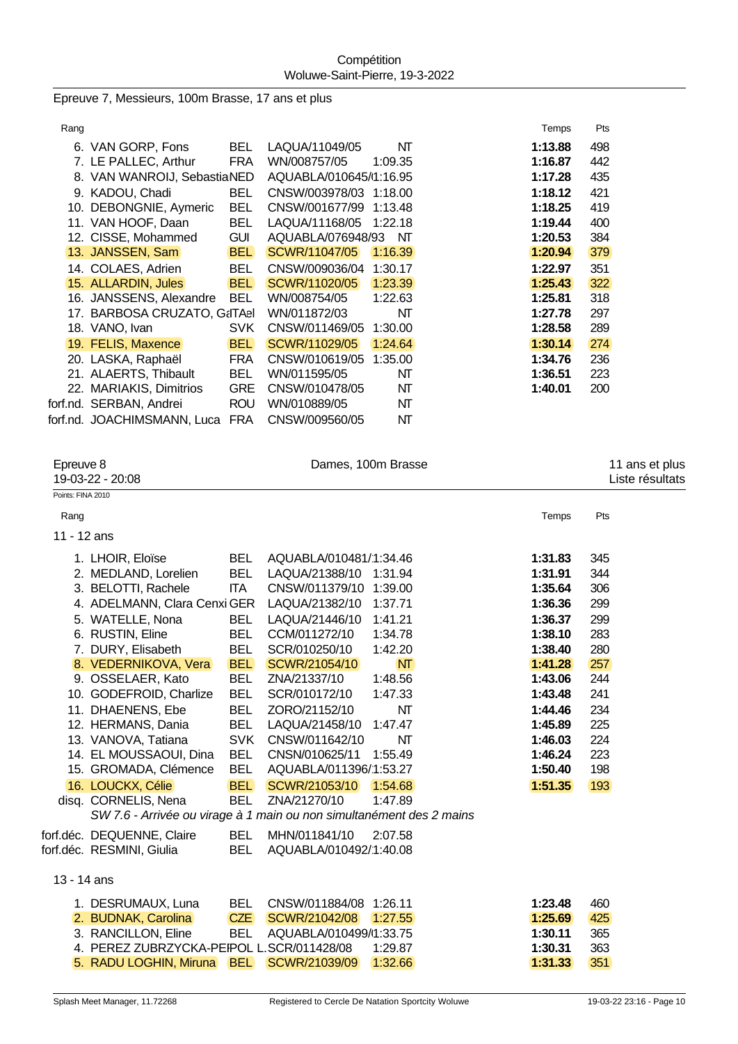Epreuve 7, Messieurs, 100m Brasse, 17 ans et plus

| Rang |                              |            |                        |         | Temps   | Pts |
|------|------------------------------|------------|------------------------|---------|---------|-----|
|      | 6. VAN GORP, Fons            | <b>BEL</b> | LAQUA/11049/05         | NT      | 1:13.88 | 498 |
|      | 7. LE PALLEC, Arthur         | <b>FRA</b> | WN/008757/05           | 1:09.35 | 1:16.87 | 442 |
|      | 8. VAN WANROIJ, SebastiaNED  |            | AQUABLA/010645/1:16.95 |         | 1:17.28 | 435 |
|      | 9. KADOU, Chadi              | <b>BEL</b> | CNSW/003978/03 1:18.00 |         | 1:18.12 | 421 |
|      | 10. DEBONGNIE, Aymeric       | <b>BEL</b> | CNSW/001677/99         | 1:13.48 | 1:18.25 | 419 |
|      | 11. VAN HOOF, Daan           | <b>BEL</b> | LAQUA/11168/05         | 1:22.18 | 1:19.44 | 400 |
|      | 12. CISSE, Mohammed          | <b>GUI</b> | AQUABLA/076948/93      | NT      | 1:20.53 | 384 |
|      | 13. JANSSEN, Sam             | <b>BEL</b> | SCWR/11047/05          | 1:16.39 | 1:20.94 | 379 |
|      | 14. COLAES, Adrien           | <b>BEL</b> | CNSW/009036/04         | 1:30.17 | 1:22.97 | 351 |
|      | 15. ALLARDIN, Jules          | <b>BEL</b> | SCWR/11020/05          | 1:23.39 | 1:25.43 | 322 |
|      | 16. JANSSENS, Alexandre      | <b>BEL</b> | WN/008754/05           | 1:22.63 | 1:25.81 | 318 |
|      | 17. BARBOSA CRUZATO, G&ITAel |            | WN/011872/03           | NΤ      | 1:27.78 | 297 |
|      | 18. VANO, Ivan               | <b>SVK</b> | CNSW/011469/05         | 1:30.00 | 1:28.58 | 289 |
|      | 19. FELIS, Maxence           | <b>BEL</b> | SCWR/11029/05          | 1:24.64 | 1:30.14 | 274 |
|      | 20. LASKA, Raphaël           | <b>FRA</b> | CNSW/010619/05         | 1:35.00 | 1:34.76 | 236 |
|      | 21. ALAERTS, Thibault        | <b>BEL</b> | WN/011595/05           | NΤ      | 1:36.51 | 223 |
|      | 22. MARIAKIS, Dimitrios      | <b>GRE</b> | CNSW/010478/05         | NΤ      | 1:40.01 | 200 |
|      | forf.nd. SERBAN, Andrei      | <b>ROU</b> | WN/010889/05           | NT      |         |     |
|      | forf.nd. JOACHIMSMANN, Luca  | <b>FRA</b> | CNSW/009560/05         | NΤ      |         |     |
|      |                              |            |                        |         |         |     |

| Points: FINA 2010                                                                   |  |
|-------------------------------------------------------------------------------------|--|
|                                                                                     |  |
| Pts<br>Temps<br>Rang                                                                |  |
| 11 - 12 ans                                                                         |  |
| 1. LHOIR, Eloïse<br><b>BEL</b><br>AQUABLA/010481/1:34.46<br>1:31.83<br>345          |  |
| <b>BEL</b><br>2. MEDLAND, Lorelien<br>LAQUA/21388/10<br>344<br>1:31.94<br>1:31.91   |  |
| 3. BELOTTI, Rachele<br><b>ITA</b><br>306<br>CNSW/011379/10 1:39.00<br>1:35.64       |  |
| 4. ADELMANN, Clara Cenxi GER<br>LAQUA/21382/10<br>1:37.71<br>1:36.36<br>299         |  |
| 5. WATELLE, Nona<br><b>BEL</b><br>LAQUA/21446/10<br>1:41.21<br>1:36.37<br>299       |  |
| 6. RUSTIN, Eline<br><b>BEL</b><br>CCM/011272/10<br>1:34.78<br>1:38.10<br>283        |  |
| 7. DURY, Elisabeth<br><b>BEL</b><br>1:42.20<br>280<br>SCR/010250/10<br>1:38.40      |  |
| <b>BEL</b><br>8. VEDERNIKOVA, Vera<br>SCWR/21054/10<br><b>NT</b><br>1:41.28<br>257  |  |
| <b>BEL</b><br>9. OSSELAER, Kato<br>ZNA/21337/10<br>1:48.56<br>1:43.06<br>244        |  |
| 10. GODEFROID, Charlize<br><b>BEL</b><br>241<br>SCR/010172/10<br>1:47.33<br>1:43.48 |  |
| 11. DHAENENS, Ebe<br><b>BEL</b><br>ZORO/21152/10<br>NT<br>234<br>1:44.46            |  |
| 12. HERMANS, Dania<br><b>BEL</b><br>LAQUA/21458/10<br>1:47.47<br>1:45.89<br>225     |  |
| 13. VANOVA, Tatiana<br><b>SVK</b><br>NT<br>1:46.03<br>224<br>CNSW/011642/10         |  |
| 14. EL MOUSSAOUI, Dina<br><b>BEL</b><br>223<br>CNSN/010625/11<br>1:55.49<br>1:46.24 |  |
| <b>BEL</b><br>15. GROMADA, Clémence<br>AQUABLA/011396/1:53.27<br>1:50.40<br>198     |  |
| 16. LOUCKX, Célie<br><b>BEL</b><br>1:51.35<br>SCWR/21053/10<br>1:54.68<br>193       |  |
| disq. CORNELIS, Nena<br><b>BEL</b><br>ZNA/21270/10<br>1:47.89                       |  |
| SW 7.6 - Arrivée ou virage à 1 main ou non simultanément des 2 mains                |  |
| forf.déc. DEQUENNE, Claire<br><b>BEL</b><br>MHN/011841/10<br>2:07.58                |  |
| forf.déc. RESMINI, Giulia<br><b>BEL</b><br>AQUABLA/010492/1:40.08                   |  |
| 13 - 14 ans                                                                         |  |
| 1. DESRUMAUX, Luna<br><b>BEL</b><br>CNSW/011884/08 1:26.11<br>1:23.48<br>460        |  |
| <b>CZE</b><br>2. BUDNAK, Carolina<br>SCWR/21042/08<br>1:27.55<br>1:25.69<br>425     |  |
| 3. RANCILLON, Eline<br><b>BEL</b><br>AQUABLA/010499/1:33.75<br>1:30.11<br>365       |  |
| 4. PEREZ ZUBRZYCKA-PEIPOL L.SCR/011428/08<br>1:29.87<br>1:30.31<br>363              |  |
| 5. RADU LOGHIN, Miruna<br><b>BEL</b><br>SCWR/21039/09<br>1:32.66<br>351<br>1:31.33  |  |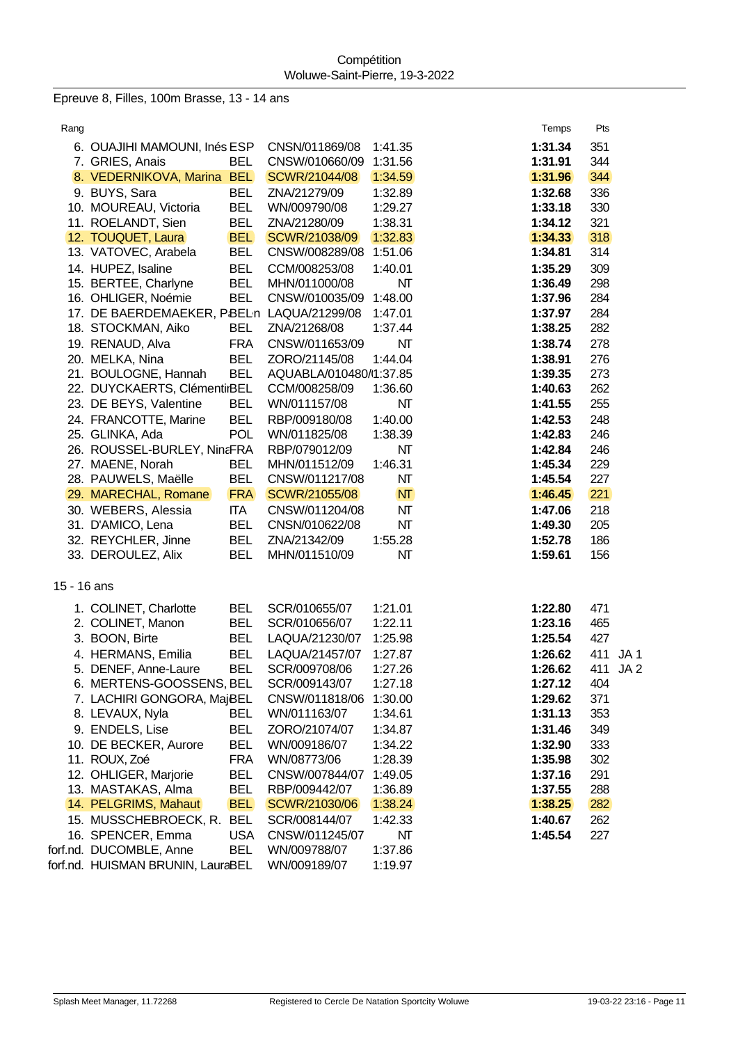Epreuve 8, Filles, 100m Brasse, 13 - 14 ans

| Rang        |                                           |            |                        |         | Temps   | Pts                    |  |
|-------------|-------------------------------------------|------------|------------------------|---------|---------|------------------------|--|
|             | 6. OUAJIHI MAMOUNI, Inés ESP              |            | CNSN/011869/08         | 1:41.35 | 1:31.34 | 351                    |  |
|             | 7. GRIES, Anais                           | <b>BEL</b> | CNSW/010660/09         | 1:31.56 | 1:31.91 | 344                    |  |
|             | 8. VEDERNIKOVA, Marina BEL                |            | SCWR/21044/08          | 1:34.59 | 1:31.96 | 344                    |  |
|             | 9. BUYS, Sara                             | <b>BEL</b> | ZNA/21279/09           | 1:32.89 | 1:32.68 | 336                    |  |
|             | 10. MOUREAU, Victoria                     | <b>BEL</b> | WN/009790/08           | 1:29.27 | 1:33.18 | 330                    |  |
|             | 11. ROELANDT, Sien                        | <b>BEL</b> | ZNA/21280/09           | 1:38.31 | 1:34.12 | 321                    |  |
|             | 12. TOUQUET, Laura                        | <b>BEL</b> | SCWR/21038/09          | 1:32.83 | 1:34.33 | 318                    |  |
|             | 13. VATOVEC, Arabela                      | <b>BEL</b> | CNSW/008289/08 1:51.06 |         | 1:34.81 | 314                    |  |
|             | 14. HUPEZ, Isaline                        | <b>BEL</b> | CCM/008253/08          | 1:40.01 | 1:35.29 | 309                    |  |
|             | 15. BERTEE, Charlyne                      | <b>BEL</b> | MHN/011000/08          | NT      | 1:36.49 | 298                    |  |
|             | 16. OHLIGER, Noémie                       | <b>BEL</b> | CNSW/010035/09         | 1:48.00 | 1:37.96 | 284                    |  |
|             | 17. DE BAERDEMAEKER, PBELn LAQUA/21299/08 |            |                        | 1:47.01 | 1:37.97 | 284                    |  |
|             | 18. STOCKMAN, Aiko                        | <b>BEL</b> | ZNA/21268/08           | 1:37.44 | 1:38.25 | 282                    |  |
|             | 19. RENAUD, Alva                          | <b>FRA</b> | CNSW/011653/09         | NT      | 1:38.74 | 278                    |  |
|             | 20. MELKA, Nina                           | <b>BEL</b> | ZORO/21145/08          | 1:44.04 | 1:38.91 | 276                    |  |
|             | 21. BOULOGNE, Hannah                      | <b>BEL</b> | AQUABLA/010480/1:37.85 |         | 1:39.35 | 273                    |  |
|             | 22. DUYCKAERTS, ClémentirBEL              |            | CCM/008258/09          | 1:36.60 | 1:40.63 | 262                    |  |
|             | 23. DE BEYS, Valentine                    | <b>BEL</b> | WN/011157/08           | NΤ      | 1:41.55 | 255                    |  |
|             | 24. FRANCOTTE, Marine                     | <b>BEL</b> | RBP/009180/08          | 1:40.00 | 1:42.53 | 248                    |  |
|             | 25. GLINKA, Ada                           | <b>POL</b> | WN/011825/08           | 1:38.39 | 1:42.83 | 246                    |  |
|             | 26. ROUSSEL-BURLEY, NinaFRA               |            | RBP/079012/09          | NΤ      | 1:42.84 | 246                    |  |
|             | 27. MAENE, Norah                          | <b>BEL</b> | MHN/011512/09          | 1:46.31 | 1:45.34 | 229                    |  |
|             | 28. PAUWELS, Maëlle                       | <b>BEL</b> | CNSW/011217/08         | NΤ      | 1:45.54 | 227                    |  |
|             | 29. MARECHAL, Romane                      | <b>FRA</b> | SCWR/21055/08          | NT      | 1:46.45 | 221                    |  |
|             | 30. WEBERS, Alessia                       | ITA        | CNSW/011204/08         | NT      | 1:47.06 | 218                    |  |
|             | 31. D'AMICO, Lena                         | <b>BEL</b> | CNSN/010622/08         | NΤ      | 1:49.30 | 205                    |  |
|             | 32. REYCHLER, Jinne                       | <b>BEL</b> | ZNA/21342/09           | 1:55.28 | 1:52.78 | 186                    |  |
|             | 33. DEROULEZ, Alix                        | <b>BEL</b> | MHN/011510/09          | NΤ      | 1:59.61 | 156                    |  |
| 15 - 16 ans |                                           |            |                        |         |         |                        |  |
|             | 1. COLINET, Charlotte                     | <b>BEL</b> | SCR/010655/07          | 1:21.01 | 1:22.80 | 471                    |  |
|             | 2. COLINET, Manon                         | <b>BEL</b> | SCR/010656/07          | 1:22.11 | 1:23.16 | 465                    |  |
|             | 3. BOON, Birte                            | <b>BEL</b> | LAQUA/21230/07         | 1:25.98 | 1:25.54 | 427                    |  |
|             | 4. HERMANS, Emilia                        | <b>BEL</b> | LAQUA/21457/07         | 1:27.87 | 1:26.62 | 411<br>JA <sub>1</sub> |  |
|             | 5. DENEF, Anne-Laure                      | <b>BEL</b> | SCR/009708/06          | 1:27.26 | 1:26.62 | 411<br>JA <sub>2</sub> |  |
|             | 6. MERTENS-GOOSSENS, BEL                  |            | SCR/009143/07          | 1:27.18 | 1:27.12 | 404                    |  |
|             | 7. LACHIRI GONGORA, MajBEL                |            | CNSW/011818/06         | 1:30.00 | 1:29.62 | 371                    |  |
|             | 8. LEVAUX, Nyla                           | <b>BEL</b> | WN/011163/07           | 1:34.61 | 1:31.13 | 353                    |  |
|             | 9. ENDELS, Lise                           | <b>BEL</b> | ZORO/21074/07          | 1:34.87 | 1:31.46 | 349                    |  |
|             | 10. DE BECKER, Aurore                     | <b>BEL</b> | WN/009186/07           | 1:34.22 | 1:32.90 | 333                    |  |
|             | 11. ROUX, Zoé                             | <b>FRA</b> | WN/08773/06            | 1:28.39 | 1:35.98 | 302                    |  |
|             | 12. OHLIGER, Marjorie                     | <b>BEL</b> | CNSW/007844/07         | 1:49.05 | 1:37.16 | 291                    |  |
|             | 13. MASTAKAS, Alma                        | <b>BEL</b> | RBP/009442/07          | 1:36.89 | 1:37.55 | 288                    |  |
|             | 14. PELGRIMS, Mahaut                      | <b>BEL</b> | SCWR/21030/06          | 1:38.24 | 1:38.25 | 282                    |  |
|             | 15. MUSSCHEBROECK, R.                     | <b>BEL</b> | SCR/008144/07          | 1:42.33 | 1:40.67 | 262                    |  |
|             | 16. SPENCER, Emma                         | <b>USA</b> | CNSW/011245/07         | NΤ      | 1:45.54 | 227                    |  |
|             | forf.nd. DUCOMBLE, Anne                   | <b>BEL</b> | WN/009788/07           | 1:37.86 |         |                        |  |
|             | forf.nd. HUISMAN BRUNIN, LauraBEL         |            | WN/009189/07           | 1:19.97 |         |                        |  |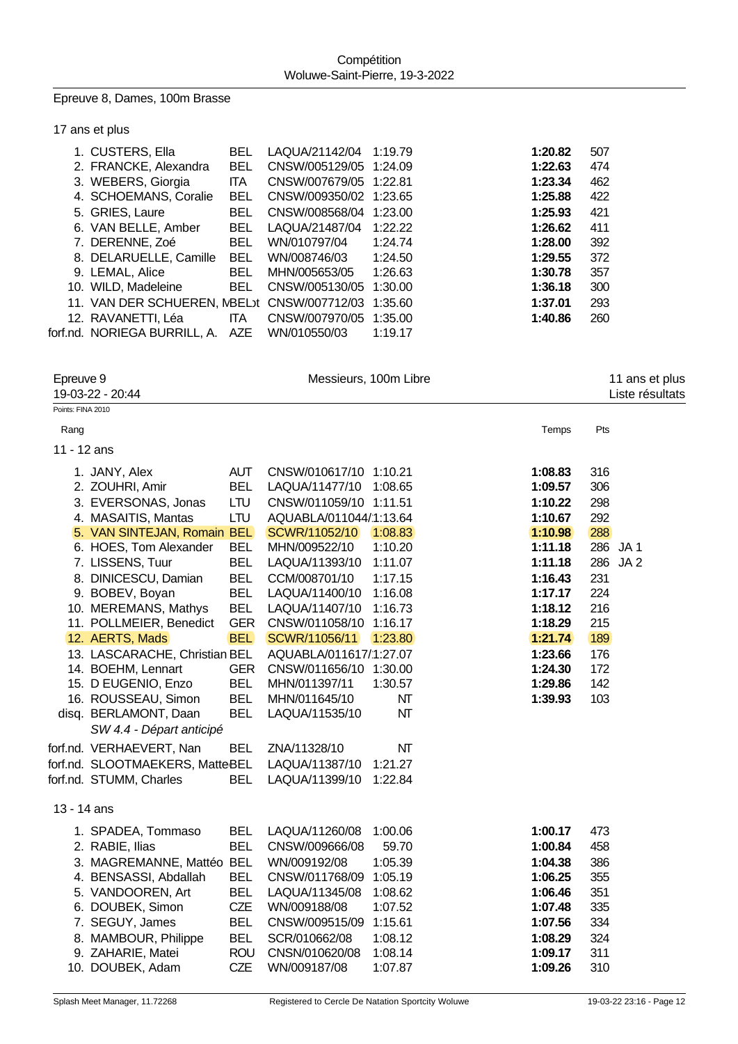Epreuve 8, Dames, 100m Brasse

| 17 ans et plus                              |            |                        |         |         |     |
|---------------------------------------------|------------|------------------------|---------|---------|-----|
| 1. CUSTERS, Ella                            | <b>BEL</b> | LAQUA/21142/04         | 1:19.79 | 1:20.82 | 507 |
| 2. FRANCKE, Alexandra                       | <b>BEL</b> | CNSW/005129/05 1:24.09 |         | 1:22.63 | 474 |
| 3. WEBERS, Giorgia                          | <b>ITA</b> | CNSW/007679/05 1:22.81 |         | 1:23.34 | 462 |
| 4. SCHOEMANS, Coralie                       | BEL        | CNSW/009350/02 1:23.65 |         | 1:25.88 | 422 |
| 5. GRIES, Laure                             | <b>BEL</b> | CNSW/008568/04 1:23.00 |         | 1:25.93 | 421 |
| 6. VAN BELLE, Amber                         | <b>BEL</b> | LAQUA/21487/04         | 1:22.22 | 1:26.62 | 411 |
| 7. DERENNE, Zoé                             | <b>BEL</b> | WN/010797/04           | 1:24.74 | 1:28.00 | 392 |
| 8. DELARUELLE, Camille                      | <b>BEL</b> | WN/008746/03           | 1:24.50 | 1:29.55 | 372 |
| 9. LEMAL, Alice                             | <b>BEL</b> | MHN/005653/05          | 1:26.63 | 1:30.78 | 357 |
| 10. WILD, Madeleine                         | <b>BEL</b> | CNSW/005130/05         | 1:30.00 | 1:36.18 | 300 |
| 11. VAN DER SCHUEREN, NBEL t CNSW/007712/03 |            |                        | 1:35.60 | 1:37.01 | 293 |
| 12. RAVANETTI, Léa                          | ITA.       | CNSW/007970/05         | 1:35.00 | 1:40.86 | 260 |
| forf.nd. NORIEGA BURRILL, A. AZE            |            | WN/010550/03           | 1:19.17 |         |     |

| Epreuve 9         | 19-03-22 - 20:44                |            |                        | Messieurs, 100m Libre |         | 11 ans et plus<br>Liste résultats |
|-------------------|---------------------------------|------------|------------------------|-----------------------|---------|-----------------------------------|
| Points: FINA 2010 |                                 |            |                        |                       |         |                                   |
| Rang              |                                 |            |                        |                       | Temps   | Pts                               |
| 11 - 12 ans       |                                 |            |                        |                       |         |                                   |
|                   | 1. JANY, Alex                   | <b>AUT</b> | CNSW/010617/10 1:10.21 |                       | 1:08.83 | 316                               |
|                   | 2. ZOUHRI, Amir                 | <b>BEL</b> | LAQUA/11477/10         | 1:08.65               | 1:09.57 | 306                               |
|                   | 3. EVERSONAS, Jonas             | LTU        | CNSW/011059/10 1:11.51 |                       | 1:10.22 | 298                               |
|                   | 4. MASAITIS, Mantas             | LTU        | AQUABLA/011044/1:13.64 |                       | 1:10.67 | 292                               |
|                   | 5. VAN SINTEJAN, Romain BEL     |            | SCWR/11052/10          | 1:08.83               | 1:10.98 | 288                               |
|                   | 6. HOES, Tom Alexander          | <b>BEL</b> | MHN/009522/10          | 1:10.20               | 1:11.18 | 286 JA1                           |
|                   | 7. LISSENS, Tuur                | <b>BEL</b> | LAQUA/11393/10         | 1:11.07               | 1:11.18 | 286<br>JA <sub>2</sub>            |
|                   | 8. DINICESCU, Damian            | <b>BEL</b> | CCM/008701/10          | 1:17.15               | 1:16.43 | 231                               |
|                   | 9. BOBEV, Boyan                 | <b>BEL</b> | LAQUA/11400/10         | 1:16.08               | 1:17.17 | 224                               |
|                   | 10. MEREMANS, Mathys            | <b>BEL</b> | LAQUA/11407/10         | 1:16.73               | 1:18.12 | 216                               |
|                   | 11. POLLMEIER, Benedict         | <b>GER</b> | CNSW/011058/10 1:16.17 |                       | 1:18.29 | 215                               |
|                   | 12. AERTS, Mads                 | <b>BEL</b> | SCWR/11056/11          | 1:23.80               | 1:21.74 | 189                               |
|                   | 13. LASCARACHE, Christian BEL   |            | AQUABLA/011617/1:27.07 |                       | 1:23.66 | 176                               |
|                   | 14. BOEHM, Lennart              | <b>GER</b> | CNSW/011656/10 1:30.00 |                       | 1:24.30 | 172                               |
|                   | 15. D EUGENIO, Enzo             | <b>BEL</b> | MHN/011397/11          | 1:30.57               | 1:29.86 | 142                               |
|                   | 16. ROUSSEAU, Simon             | <b>BEL</b> | MHN/011645/10          | NT                    | 1:39.93 | 103                               |
|                   | disq. BERLAMONT, Daan           | <b>BEL</b> | LAQUA/11535/10         | NT                    |         |                                   |
|                   | SW 4.4 - Départ anticipé        |            |                        |                       |         |                                   |
|                   | forf.nd. VERHAEVERT, Nan        | <b>BEL</b> | ZNA/11328/10           | NT                    |         |                                   |
|                   | forf.nd. SLOOTMAEKERS, MatteBEL |            | LAQUA/11387/10         | 1:21.27               |         |                                   |
|                   | forf.nd. STUMM, Charles         | <b>BEL</b> | LAQUA/11399/10         | 1:22.84               |         |                                   |
| 13 - 14 ans       |                                 |            |                        |                       |         |                                   |
|                   | 1. SPADEA, Tommaso              | <b>BEL</b> | LAQUA/11260/08         | 1:00.06               | 1:00.17 | 473                               |
|                   | 2. RABIE, Ilias                 | <b>BEL</b> | CNSW/009666/08         | 59.70                 | 1:00.84 | 458                               |
|                   | 3. MAGREMANNE, Mattéo BEL       |            | WN/009192/08           | 1:05.39               | 1:04.38 | 386                               |
|                   | 4. BENSASSI, Abdallah           | <b>BEL</b> | CNSW/011768/09         | 1:05.19               | 1:06.25 | 355                               |
|                   | 5. VANDOOREN, Art               | <b>BEL</b> | LAQUA/11345/08         | 1:08.62               | 1:06.46 | 351                               |
|                   | 6. DOUBEK, Simon                | CZE        | WN/009188/08           | 1:07.52               | 1:07.48 | 335                               |
|                   | 7. SEGUY, James                 | <b>BEL</b> | CNSW/009515/09         | 1:15.61               | 1:07.56 | 334                               |
|                   | 8. MAMBOUR, Philippe            | <b>BEL</b> | SCR/010662/08          | 1:08.12               | 1:08.29 | 324                               |
|                   | 9. ZAHARIE, Matei               | <b>ROU</b> | CNSN/010620/08         | 1:08.14               | 1:09.17 | 311                               |
|                   | 10. DOUBEK, Adam                | <b>CZE</b> | WN/009187/08           | 1:07.87               | 1:09.26 | 310                               |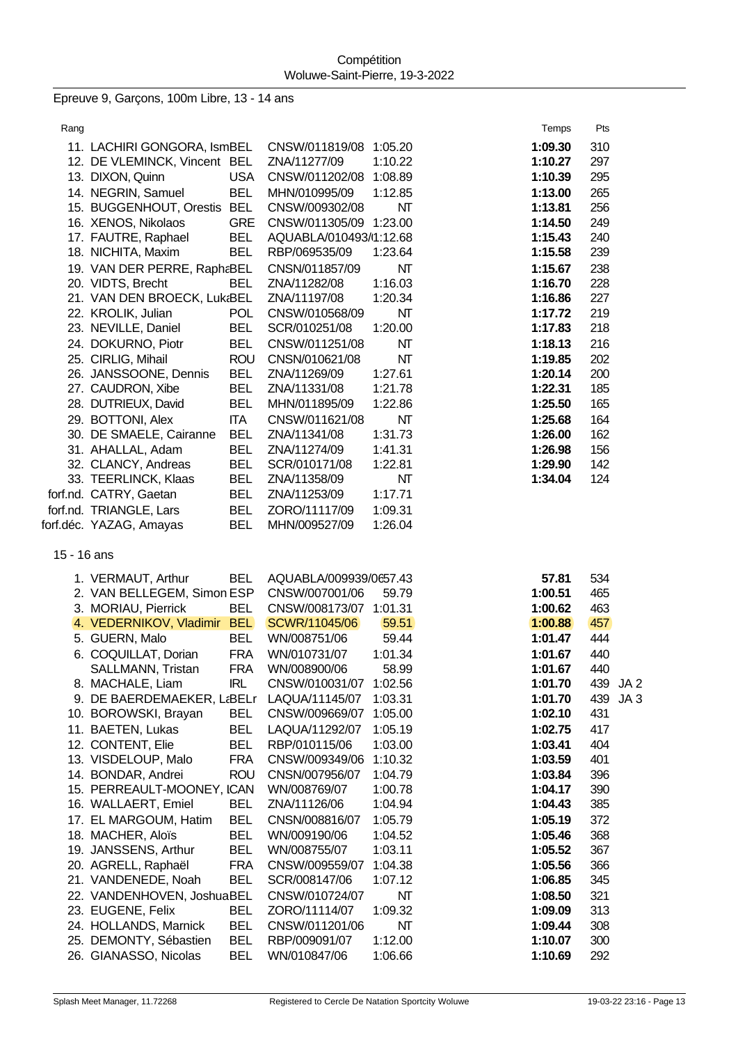Epreuve 9, Garçons, 100m Libre, 13 - 14 ans

| Rang        |                                                 |                          |                                        |                    | Temps              | Pts        |                                    |
|-------------|-------------------------------------------------|--------------------------|----------------------------------------|--------------------|--------------------|------------|------------------------------------|
|             | 11. LACHIRI GONGORA, IsmBEL                     |                          | CNSW/011819/08 1:05.20                 |                    | 1:09.30            | 310        |                                    |
|             | 12. DE VLEMINCK, Vincent BEL                    |                          | ZNA/11277/09                           | 1:10.22            | 1:10.27            | 297        |                                    |
|             | 13. DIXON, Quinn                                | <b>USA</b>               | CNSW/011202/08 1:08.89                 |                    | 1:10.39            | 295        |                                    |
|             | 14. NEGRIN, Samuel                              | <b>BEL</b>               | MHN/010995/09                          | 1:12.85            | 1:13.00            | 265        |                                    |
|             | 15. BUGGENHOUT, Orestis BEL                     |                          | CNSW/009302/08                         | NΤ                 | 1:13.81            | 256        |                                    |
|             | 16. XENOS, Nikolaos                             | <b>GRE</b>               | CNSW/011305/09 1:23.00                 |                    | 1:14.50            | 249        |                                    |
|             | 17. FAUTRE, Raphael                             | <b>BEL</b>               | AQUABLA/010493/1:12.68                 |                    | 1:15.43            | 240        |                                    |
|             | 18. NICHITA, Maxim                              | <b>BEL</b>               | RBP/069535/09                          | 1:23.64            | 1:15.58            | 239        |                                    |
|             | 19. VAN DER PERRE, RaphaBEL                     |                          | CNSN/011857/09                         | NT                 | 1:15.67            | 238        |                                    |
|             | 20. VIDTS, Brecht                               | <b>BEL</b>               | ZNA/11282/08                           | 1:16.03            | 1:16.70            | 228        |                                    |
|             | 21. VAN DEN BROECK, Luk BEL                     |                          | ZNA/11197/08                           | 1:20.34            | 1:16.86            | 227        |                                    |
|             | 22. KROLIK, Julian                              | <b>POL</b>               | CNSW/010568/09                         | NΤ                 | 1:17.72            | 219        |                                    |
|             | 23. NEVILLE, Daniel                             | <b>BEL</b>               | SCR/010251/08                          | 1:20.00            | 1:17.83            | 218        |                                    |
|             | 24. DOKURNO, Piotr                              | <b>BEL</b>               | CNSW/011251/08                         | NT                 | 1:18.13            | 216        |                                    |
|             | 25. CIRLIG, Mihail                              | <b>ROU</b><br><b>BEL</b> | CNSN/010621/08                         | NT                 | 1:19.85            | 202<br>200 |                                    |
|             | 26. JANSSOONE, Dennis<br>27. CAUDRON, Xibe      | <b>BEL</b>               | ZNA/11269/09<br>ZNA/11331/08           | 1:27.61<br>1:21.78 | 1:20.14<br>1:22.31 | 185        |                                    |
|             | 28. DUTRIEUX, David                             | <b>BEL</b>               | MHN/011895/09                          | 1:22.86            | 1:25.50            | 165        |                                    |
|             | 29. BOTTONI, Alex                               | <b>ITA</b>               | CNSW/011621/08                         | NT                 | 1:25.68            | 164        |                                    |
|             | 30. DE SMAELE, Cairanne                         | <b>BEL</b>               | ZNA/11341/08                           | 1:31.73            | 1:26.00            | 162        |                                    |
|             | 31. AHALLAL, Adam                               | <b>BEL</b>               | ZNA/11274/09                           | 1:41.31            | 1:26.98            | 156        |                                    |
|             | 32. CLANCY, Andreas                             | <b>BEL</b>               | SCR/010171/08                          | 1:22.81            | 1:29.90            | 142        |                                    |
|             | 33. TEERLINCK, Klaas                            | <b>BEL</b>               | ZNA/11358/09                           | NΤ                 | 1:34.04            | 124        |                                    |
|             | forf.nd. CATRY, Gaetan                          | <b>BEL</b>               | ZNA/11253/09                           | 1:17.71            |                    |            |                                    |
|             | forf.nd. TRIANGLE, Lars                         | <b>BEL</b>               | ZORO/11117/09                          | 1:09.31            |                    |            |                                    |
|             | forf.déc. YAZAG, Amayas                         | <b>BEL</b>               | MHN/009527/09                          | 1:26.04            |                    |            |                                    |
| 15 - 16 ans |                                                 |                          |                                        |                    |                    |            |                                    |
|             | 1. VERMAUT, Arthur                              | <b>BEL</b>               | AQUABLA/009939/0657.43                 |                    | 57.81              | 534        |                                    |
|             | 2. VAN BELLEGEM, Simon ESP                      |                          | CNSW/007001/06                         | 59.79              | 1:00.51            | 465        |                                    |
|             | 3. MORIAU, Pierrick                             | <b>BEL</b>               | CNSW/008173/07 1:01.31                 |                    | 1:00.62            | 463        |                                    |
|             | 4. VEDERNIKOV, Vladimir BEL                     |                          | SCWR/11045/06                          | 59.51              | 1:00.88            | 457        |                                    |
|             | 5. GUERN, Malo                                  | <b>BEL</b>               | WN/008751/06                           | 59.44              | 1:01.47            | 444        |                                    |
|             | 6. COQUILLAT, Dorian                            | <b>FRA</b>               | WN/010731/07                           | 1:01.34            | 1:01.67            | 440        |                                    |
|             | SALLMANN, Tristan<br>8. MACHALE, Liam           | <b>FRA</b><br><b>IRL</b> | WN/008900/06<br>CNSW/010031/07 1:02.56 | 58.99              | 1:01.67            | 440<br>439 |                                    |
|             | 9. DE BAERDEMAEKER, L&BELr                      |                          | LAQUA/11145/07                         | 1:03.31            | 1:01.70<br>1:01.70 | 439        | JA <sub>2</sub><br>JA <sub>3</sub> |
|             | 10. BOROWSKI, Brayan                            | <b>BEL</b>               | CNSW/009669/07                         | 1:05.00            | 1:02.10            | 431        |                                    |
|             | 11. BAETEN, Lukas                               | <b>BEL</b>               | LAQUA/11292/07                         |                    | 1:02.75            | 417        |                                    |
|             |                                                 |                          |                                        |                    |                    |            |                                    |
|             |                                                 |                          |                                        | 1:05.19            |                    |            |                                    |
|             | 12. CONTENT, Elie                               | <b>BEL</b>               | RBP/010115/06                          | 1:03.00            | 1:03.41            | 404        |                                    |
|             | 13. VISDELOUP, Malo                             | <b>FRA</b>               | CNSW/009349/06                         | 1:10.32            | 1:03.59            | 401        |                                    |
|             | 14. BONDAR, Andrei                              | <b>ROU</b>               | CNSN/007956/07                         | 1:04.79            | 1:03.84            | 396        |                                    |
|             | 15. PERREAULT-MOONEY, ICAN                      |                          | WN/008769/07                           | 1:00.78            | 1:04.17            | 390        |                                    |
|             | 16. WALLAERT, Emiel                             | <b>BEL</b><br><b>BEL</b> | ZNA/11126/06<br>CNSN/008816/07         | 1:04.94<br>1:05.79 | 1:04.43<br>1:05.19 | 385<br>372 |                                    |
|             | 17. EL MARGOUM, Hatim<br>18. MACHER, Aloïs      | <b>BEL</b>               | WN/009190/06                           | 1:04.52            | 1:05.46            | 368        |                                    |
|             | 19. JANSSENS, Arthur                            | <b>BEL</b>               | WN/008755/07                           | 1:03.11            | 1:05.52            | 367        |                                    |
|             | 20. AGRELL, Raphaël                             | <b>FRA</b>               | CNSW/009559/07                         | 1:04.38            | 1:05.56            | 366        |                                    |
|             | 21. VANDENEDE, Noah                             | <b>BEL</b>               | SCR/008147/06                          | 1:07.12            | 1:06.85            | 345        |                                    |
|             | 22. VANDENHOVEN, JoshuaBEL                      |                          | CNSW/010724/07                         | NΤ                 | 1:08.50            | 321        |                                    |
|             | 23. EUGENE, Felix                               | <b>BEL</b>               | ZORO/11114/07                          | 1:09.32            | 1:09.09            | 313        |                                    |
|             | 24. HOLLANDS, Marnick                           | <b>BEL</b>               | CNSW/011201/06                         | NΤ                 | 1:09.44            | 308        |                                    |
|             | 25. DEMONTY, Sébastien<br>26. GIANASSO, Nicolas | <b>BEL</b><br><b>BEL</b> | RBP/009091/07<br>WN/010847/06          | 1:12.00<br>1:06.66 | 1:10.07<br>1:10.69 | 300<br>292 |                                    |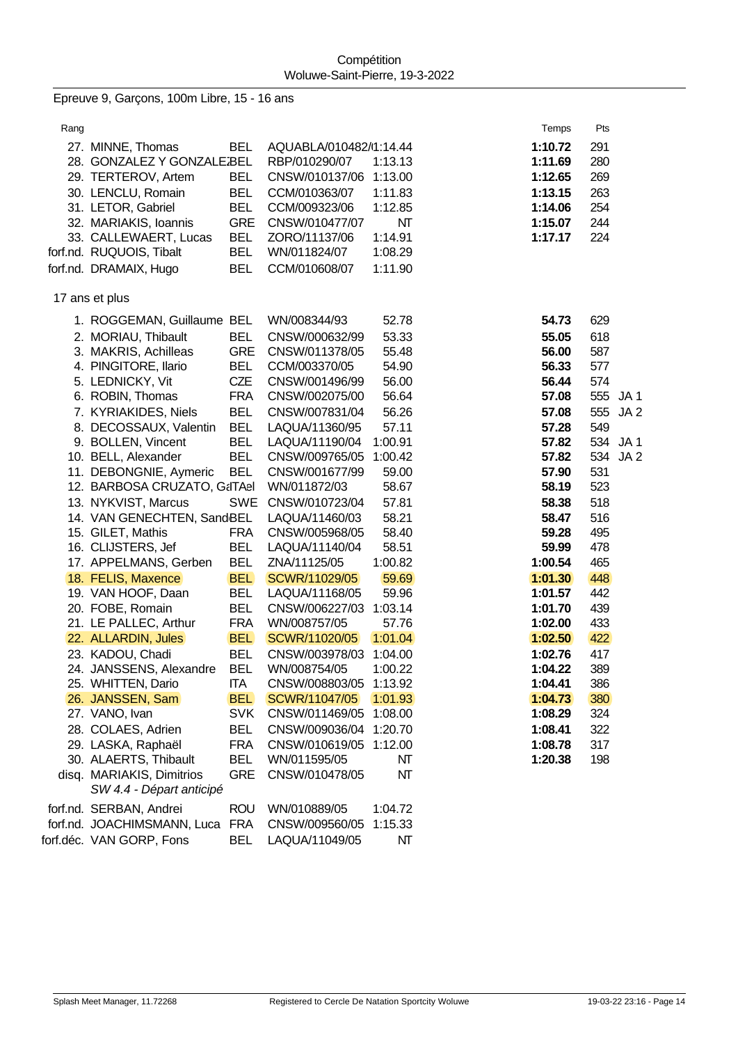Epreuve 9, Garçons, 100m Libre, 15 - 16 ans

Rang Passacres and the control of the control of the control of the control of the control of the control of the control of the control of the control of the control of the control of the control of the control of the cont 27. MINNE, Thomas BEL AQUABLA/010482/071:14.44 **1:10.72** 291 28. GONZALEZ Y GONZALEZ, R. BELRBP/010290/07 1:13.13 **1:11.69** 280 29. TERTEROV, Artem BEL CNSW/010137/06 1:13.00 **1:12.65** 269 30. LENCLU, Romain BEL CCM/010363/07 1:11.83 **1:13.15** 263 31. LETOR, Gabriel BEL CCM/009323/06 1:12.85 **1:14.06** 254 32. MARIAKIS, Ioannis GRE CNSW/010477/07 NT **1:15.07** 244 33. CALLEWAERT, Lucas BEL ZORO/11137/06 1:14.91 **1:17.17** 224 forf.nd. RUQUOIS, Tibalt BEL WN/011824/07 1:08.29 forf.nd. DRAMAIX, Hugo BEL CCM/010608/07 1:11.90 17 ans et plus 1. ROGGEMAN, Guillaume BEL WN/008344/93 52.78 **54.73** 629 2. MORIAU, Thibault BEL CNSW/000632/99 53.33 **55.05** 618 3. MAKRIS, Achilleas GRE CNSW/011378/05 55.48 **56.00** 587 4. PINGITORE, Ilario BEL CCM/003370/05 54.90 **56.33** 577 5. LEDNICKY, Vit CZE CNSW/001496/99 56.00 **56.44** 574 6. ROBIN, Thomas FRA CNSW/002075/00 56.64 **57.08** 555 JA 1 7. KYRIAKIDES, Niels BEL CNSW/007831/04 56.26 **57.08** 555 JA 2 8. DECOSSAUX, Valentin BEL LAQUA/11360/95 57.11 **57.28** 549 9. BOLLEN, Vincent BEL LAQUA/11190/04 1:00.91 **57.82** 534 JA 1 10. BELL, Alexander BEL CNSW/009765/05 1:00.42 **57.82** 534 JA 2 11. DEBONGNIE, Aymeric BEL CNSW/001677/99 59.00 **57.90** 531 12. BARBOSA CRUZATO, GaITAel WN/011872/03 58.67 **58.19 58.19** 523 13. NYKVIST, Marcus SWE CNSW/010723/04 57.81 **58.38** 518 14. VAN GENECHTEN, SandBEL LAQUA/11460/03 58.21 **58.47** 516 15. GILET, Mathis FRA CNSW/005968/05 58.40 **59.28** 495 16. CLIJSTERS, Jef BEL LAQUA/11140/04 58.51 **59.99** 478 17. APPELMANS, Gerben BEL ZNA/11125/05 1:00.82 **1:00.54** 465 18. FELIS, Maxence BEL SCWR/11029/05 59.69 **1:01.30** 448 19. VAN HOOF, Daan BEL LAQUA/11168/05 59.96 **1:01.57** 442 20. FOBE, Romain BEL CNSW/006227/03 1:03.14 **1:01.70** 439 21. LE PALLEC, Arthur FRA WN/008757/05 57.76 **1:02.00** 433 22. ALLARDIN, Jules BEL SCWR/11020/05 1:01.04 **1:02.50** 422 23. KADOU, Chadi BEL CNSW/003978/03 1:04.00 **1:02.76** 417 24. JANSSENS, Alexandre BEL WN/008754/05 1:00.22 **1:04.22** 389 25. WHITTEN, Dario ITA CNSW/008803/05 1:13.92 **1:04.41** 386 26. JANSSEN, Sam BEL SCWR/11047/05 1:01.93 **1:04.73** 380 27. VANO, Ivan SVK CNSW/011469/05 1:08.00 **1:08.29** 324 28. COLAES, Adrien BEL CNSW/009036/04 1:20.70 **1:08.41** 322 29. LASKA, Raphaël FRA CNSW/010619/05 1:12.00 **1:08.78** 317 30. ALAERTS, Thibault BEL WN/011595/05 NT **1:20.38** 198 disq. MARIAKIS, Dimitrios GRE CNSW/010478/05 NT *SW 4.4 - Départ anticipé* forf.nd. SERBAN, Andrei ROU WN/010889/05 1:04.72 forf.nd. JOACHIMSMANN, Luca FRA CNSW/009560/05 1:15.33 forf.déc. VAN GORP, Fons BEL LAQUA/11049/05 NT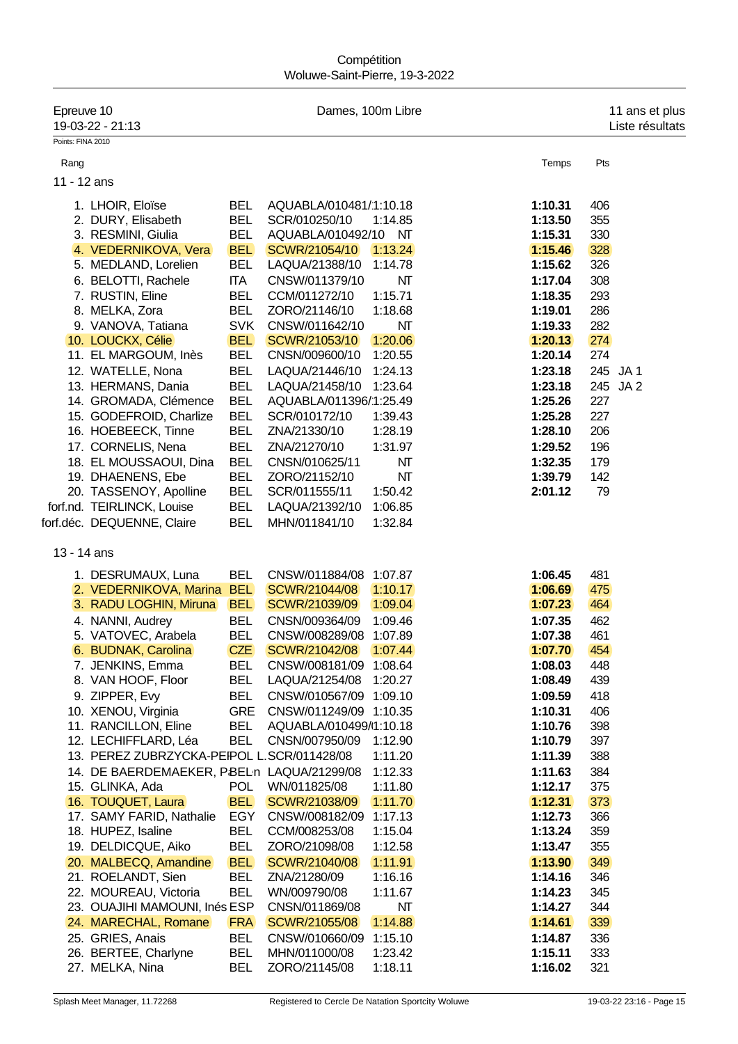## **Compétition** Woluwe-Saint-Pierre, 19-3-2022

| Epreuve 10        | 19-03-22 - 21:13                           |            |                        | Dames, 100m Libre      |         |          | 11 ans et plus<br>Liste résultats |
|-------------------|--------------------------------------------|------------|------------------------|------------------------|---------|----------|-----------------------------------|
| Points: FINA 2010 |                                            |            |                        |                        |         |          |                                   |
| Rang              |                                            |            |                        |                        | Temps   | Pts      |                                   |
| 11 - 12 ans       |                                            |            |                        |                        |         |          |                                   |
|                   |                                            |            |                        |                        |         |          |                                   |
|                   | 1. LHOIR, Eloïse                           | <b>BEL</b> | AQUABLA/010481/1:10.18 |                        | 1:10.31 | 406      |                                   |
|                   | 2. DURY, Elisabeth                         | <b>BEL</b> | SCR/010250/10          | 1:14.85                | 1:13.50 | 355      |                                   |
|                   | 3. RESMINI, Giulia                         | <b>BEL</b> | AQUABLA/010492/10      | $\mathsf{N}\mathsf{T}$ | 1:15.31 | 330      |                                   |
|                   | 4. VEDERNIKOVA, Vera                       | <b>BEL</b> | SCWR/21054/10          | 1:13.24                | 1:15.46 | 328      |                                   |
|                   | 5. MEDLAND, Lorelien                       | <b>BEL</b> | LAQUA/21388/10         | 1:14.78                | 1:15.62 | 326      |                                   |
|                   | 6. BELOTTI, Rachele                        | <b>ITA</b> | CNSW/011379/10         | NT                     | 1:17.04 | 308      |                                   |
|                   | 7. RUSTIN, Eline                           | <b>BEL</b> | CCM/011272/10          | 1:15.71                | 1:18.35 | 293      |                                   |
|                   | 8. MELKA, Zora                             | <b>BEL</b> | ZORO/21146/10          | 1:18.68                | 1:19.01 | 286      |                                   |
|                   | 9. VANOVA, Tatiana                         | <b>SVK</b> | CNSW/011642/10         | NΤ                     | 1:19.33 | 282      |                                   |
|                   | 10. LOUCKX, Célie                          | <b>BEL</b> | SCWR/21053/10          | 1:20.06                | 1:20.13 | 274      |                                   |
|                   | 11. EL MARGOUM, Inès                       | <b>BEL</b> | CNSN/009600/10         | 1:20.55                | 1:20.14 | 274      |                                   |
|                   | 12. WATELLE, Nona                          | <b>BEL</b> | LAQUA/21446/10         | 1:24.13                | 1:23.18 | 245 JA1  |                                   |
|                   | 13. HERMANS, Dania                         | <b>BEL</b> | LAQUA/21458/10         | 1:23.64                | 1:23.18 | 245 JA 2 |                                   |
|                   | 14. GROMADA, Clémence                      | <b>BEL</b> | AQUABLA/011396/1:25.49 |                        | 1:25.26 | 227      |                                   |
|                   | 15. GODEFROID, Charlize                    | <b>BEL</b> | SCR/010172/10          | 1:39.43                | 1:25.28 | 227      |                                   |
|                   | 16. HOEBEECK, Tinne                        | <b>BEL</b> | ZNA/21330/10           | 1:28.19                | 1:28.10 | 206      |                                   |
|                   | 17. CORNELIS, Nena                         | <b>BEL</b> | ZNA/21270/10           | 1:31.97                | 1:29.52 | 196      |                                   |
|                   | 18. EL MOUSSAOUI, Dina                     | <b>BEL</b> | CNSN/010625/11         | NT                     | 1:32.35 | 179      |                                   |
|                   | 19. DHAENENS, Ebe                          | <b>BEL</b> | ZORO/21152/10          | NT                     | 1:39.79 | 142      |                                   |
|                   | 20. TASSENOY, Apolline                     | <b>BEL</b> | SCR/011555/11          | 1:50.42                | 2:01.12 | 79       |                                   |
|                   | forf.nd. TEIRLINCK, Louise                 | <b>BEL</b> | LAQUA/21392/10         | 1:06.85                |         |          |                                   |
|                   | forf.déc. DEQUENNE, Claire                 | <b>BEL</b> | MHN/011841/10          | 1:32.84                |         |          |                                   |
| 13 - 14 ans       |                                            |            |                        |                        |         |          |                                   |
|                   | 1. DESRUMAUX, Luna                         | <b>BEL</b> | CNSW/011884/08         | 1:07.87                | 1:06.45 | 481      |                                   |
|                   | 2. VEDERNIKOVA, Marina                     | <b>BEL</b> | SCWR/21044/08          | 1:10.17                | 1:06.69 | 475      |                                   |
|                   | 3. RADU LOGHIN, Miruna                     | <b>BEL</b> | SCWR/21039/09          | 1:09.04                | 1:07.23 | 464      |                                   |
|                   | 4. NANNI, Audrey                           | <b>BEL</b> | CNSN/009364/09         | 1:09.46                | 1:07.35 | 462      |                                   |
|                   | 5. VATOVEC, Arabela                        | <b>BEL</b> | CNSW/008289/08         | 1:07.89                | 1:07.38 | 461      |                                   |
|                   | 6. BUDNAK, Carolina                        | <b>CZE</b> | SCWR/21042/08          | 1:07.44                | 1:07.70 | 454      |                                   |
|                   | 7. JENKINS, Emma                           | BEL.       | CNSW/008181/09 1:08.64 |                        | 1:08.03 | 448      |                                   |
|                   | 8. VAN HOOF, Floor                         | <b>BEL</b> | LAQUA/21254/08 1:20.27 |                        | 1:08.49 | 439      |                                   |
|                   | 9. ZIPPER, Evy                             | <b>BEL</b> | CNSW/010567/09 1:09.10 |                        | 1:09.59 | 418      |                                   |
|                   | 10. XENOU, Virginia                        | <b>GRE</b> | CNSW/011249/09 1:10.35 |                        | 1:10.31 | 406      |                                   |
|                   | 11. RANCILLON, Eline                       | <b>BEL</b> | AQUABLA/010499/1:10.18 |                        | 1:10.76 | 398      |                                   |
|                   | 12. LECHIFFLARD, Léa                       | <b>BEL</b> | CNSN/007950/09         | 1:12.90                | 1:10.79 | 397      |                                   |
|                   | 13. PEREZ ZUBRZYCKA-PEIPOL L.SCR/011428/08 |            |                        | 1:11.20                | 1:11.39 | 388      |                                   |
|                   | 14. DE BAERDEMAEKER, PBELn LAQUA/21299/08  |            |                        | 1:12.33                | 1:11.63 | 384      |                                   |
|                   | 15. GLINKA, Ada                            | <b>POL</b> | WN/011825/08           | 1:11.80                | 1:12.17 | 375      |                                   |
|                   | 16. TOUQUET, Laura                         | <b>BEL</b> | SCWR/21038/09          | 1:11.70                | 1:12.31 | 373      |                                   |
|                   | 17. SAMY FARID, Nathalie                   | EGY        | CNSW/008182/09 1:17.13 |                        | 1:12.73 | 366      |                                   |
|                   | 18. HUPEZ, Isaline                         | <b>BEL</b> | CCM/008253/08          | 1:15.04                | 1:13.24 | 359      |                                   |
|                   | 19. DELDICQUE, Aiko                        | BEL        | ZORO/21098/08          | 1:12.58                | 1:13.47 | 355      |                                   |
|                   | 20. MALBECQ, Amandine                      | <b>BEL</b> | SCWR/21040/08          | 1:11.91                | 1:13.90 | 349      |                                   |
|                   | 21. ROELANDT, Sien                         | <b>BEL</b> | ZNA/21280/09           | 1:16.16                | 1:14.16 | 346      |                                   |
|                   | 22. MOUREAU, Victoria                      | <b>BEL</b> | WN/009790/08           | 1:11.67                | 1:14.23 | 345      |                                   |
|                   | 23. OUAJIHI MAMOUNI, Inés ESP              |            | CNSN/011869/08         | NΤ                     | 1:14.27 | 344      |                                   |
|                   | 24. MARECHAL, Romane                       | <b>FRA</b> | SCWR/21055/08          | 1:14.88                | 1:14.61 | 339      |                                   |
|                   | 25. GRIES, Anais                           | <b>BEL</b> | CNSW/010660/09         | 1:15.10                | 1:14.87 | 336      |                                   |
|                   | 26. BERTEE, Charlyne                       | BEL        | MHN/011000/08          | 1:23.42                | 1:15.11 | 333      |                                   |
|                   | 27. MELKA, Nina                            | <b>BEL</b> | ZORO/21145/08          | 1:18.11                | 1:16.02 | 321      |                                   |
|                   |                                            |            |                        |                        |         |          |                                   |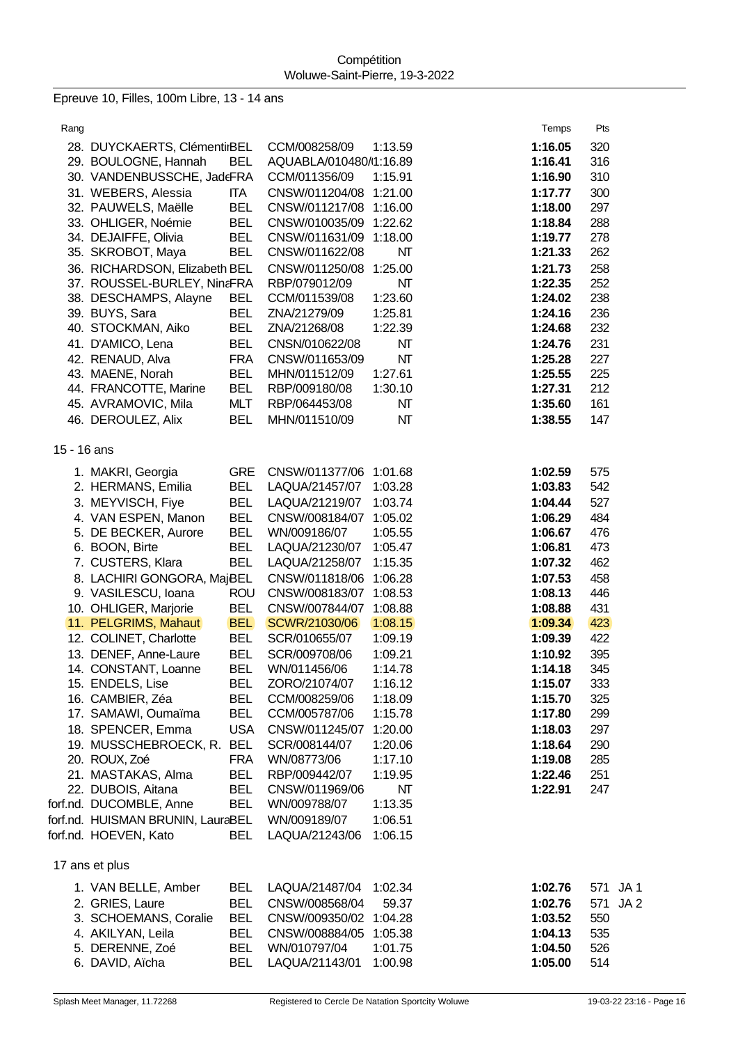Epreuve 10, Filles, 100m Libre, 13 - 14 ans

| Rang        |                                                   |                          |                                  |                    | Temps              | Pts                    |
|-------------|---------------------------------------------------|--------------------------|----------------------------------|--------------------|--------------------|------------------------|
|             | 28. DUYCKAERTS, ClémentirBEL                      |                          | CCM/008258/09                    | 1:13.59            | 1:16.05            | 320                    |
|             | 29. BOULOGNE, Hannah                              | <b>BEL</b>               | AQUABLA/010480/1:16.89           |                    | 1:16.41            | 316                    |
|             | 30. VANDENBUSSCHE, JadeFRA                        |                          | CCM/011356/09                    | 1:15.91            | 1:16.90            | 310                    |
|             | 31. WEBERS, Alessia                               | <b>ITA</b>               | CNSW/011204/08 1:21.00           |                    | 1:17.77            | 300                    |
|             | 32. PAUWELS, Maëlle                               | <b>BEL</b>               | CNSW/011217/08 1:16.00           |                    | 1:18.00            | 297                    |
|             | 33. OHLIGER, Noémie                               | <b>BEL</b>               | CNSW/010035/09 1:22.62           |                    | 1:18.84            | 288                    |
|             | 34. DEJAIFFE, Olivia                              | <b>BEL</b>               | CNSW/011631/09                   | 1:18.00            | 1:19.77            | 278                    |
|             | 35. SKROBOT, Maya                                 | <b>BEL</b>               | CNSW/011622/08                   | NΤ                 | 1:21.33            | 262                    |
|             | 36. RICHARDSON, Elizabeth BEL                     |                          | CNSW/011250/08                   | 1:25.00            | 1:21.73            | 258                    |
|             | 37. ROUSSEL-BURLEY, NinaFRA                       |                          | RBP/079012/09                    | NΤ                 | 1:22.35            | 252                    |
|             | 38. DESCHAMPS, Alayne                             | <b>BEL</b>               | CCM/011539/08                    | 1:23.60            | 1:24.02            | 238                    |
|             | 39. BUYS, Sara                                    | <b>BEL</b>               | ZNA/21279/09                     | 1:25.81            | 1:24.16            | 236                    |
|             | 40. STOCKMAN, Aiko                                | <b>BEL</b>               | ZNA/21268/08                     | 1:22.39            | 1:24.68            | 232                    |
|             | 41. D'AMICO, Lena                                 | <b>BEL</b>               | CNSN/010622/08                   | NΤ                 | 1:24.76            | 231                    |
|             | 42. RENAUD, Alva                                  | <b>FRA</b>               | CNSW/011653/09                   | NT                 | 1:25.28            | 227                    |
|             | 43. MAENE, Norah                                  | <b>BEL</b>               | MHN/011512/09                    | 1:27.61            | 1:25.55            | 225                    |
|             | 44. FRANCOTTE, Marine                             | <b>BEL</b>               | RBP/009180/08                    | 1:30.10            | 1:27.31            | 212                    |
|             | 45. AVRAMOVIC, Mila                               | <b>MLT</b>               | RBP/064453/08                    | NΤ                 | 1:35.60            | 161                    |
|             | 46. DEROULEZ, Alix                                | <b>BEL</b>               | MHN/011510/09                    | NT                 | 1:38.55            | 147                    |
| 15 - 16 ans |                                                   |                          |                                  |                    |                    |                        |
|             |                                                   |                          |                                  |                    |                    |                        |
|             | 1. MAKRI, Georgia                                 | <b>GRE</b>               | CNSW/011377/06                   | 1:01.68            | 1:02.59            | 575                    |
|             | 2. HERMANS, Emilia                                | <b>BEL</b>               | LAQUA/21457/07                   | 1:03.28            | 1:03.83            | 542                    |
|             | 3. MEYVISCH, Fiye                                 | <b>BEL</b>               | LAQUA/21219/07                   | 1:03.74            | 1:04.44            | 527                    |
|             | 4. VAN ESPEN, Manon                               | <b>BEL</b>               | CNSW/008184/07                   | 1:05.02            | 1:06.29            | 484                    |
|             | 5. DE BECKER, Aurore                              | <b>BEL</b>               | WN/009186/07                     | 1:05.55            | 1:06.67            | 476<br>473             |
|             | 6. BOON, Birte                                    | <b>BEL</b><br><b>BEL</b> | LAQUA/21230/07<br>LAQUA/21258/07 | 1:05.47<br>1:15.35 | 1:06.81            | 462                    |
|             | 7. CUSTERS, Klara                                 |                          | CNSW/011818/06                   |                    | 1:07.32            |                        |
|             | 8. LACHIRI GONGORA, MajBEL<br>9. VASILESCU, Ioana |                          | CNSW/008183/07                   | 1:06.28<br>1:08.53 | 1:07.53<br>1:08.13 | 458<br>446             |
|             | 10. OHLIGER, Marjorie                             | <b>ROU</b><br><b>BEL</b> | CNSW/007844/07                   | 1:08.88            | 1:08.88            | 431                    |
|             | 11. PELGRIMS, Mahaut                              | <b>BEL</b>               | SCWR/21030/06                    | 1:08.15            | 1:09.34            | 423                    |
|             | 12. COLINET, Charlotte                            | <b>BEL</b>               | SCR/010655/07                    | 1:09.19            | 1:09.39            | 422                    |
|             | 13. DENEF, Anne-Laure                             | <b>BEL</b>               | SCR/009708/06                    | 1:09.21            | 1:10.92            | 395                    |
|             | 14. CONSTANT, Loanne                              | <b>BEL</b>               | WN/011456/06                     | 1:14.78            | 1:14.18            | 345                    |
|             | 15. ENDELS, Lise                                  | <b>BEL</b>               | ZORO/21074/07                    | 1:16.12            | 1:15.07            | 333                    |
|             | 16. CAMBIER, Zéa                                  | <b>BEL</b>               | CCM/008259/06                    | 1:18.09            | 1:15.70            | 325                    |
|             | 17. SAMAWI, Oumaïma                               | <b>BEL</b>               | CCM/005787/06                    | 1:15.78            | 1:17.80            | 299                    |
|             | 18. SPENCER, Emma                                 | <b>USA</b>               | CNSW/011245/07                   | 1:20.00            | 1:18.03            | 297                    |
|             | 19. MUSSCHEBROECK, R.                             | <b>BEL</b>               | SCR/008144/07                    | 1:20.06            | 1:18.64            | 290                    |
|             | 20. ROUX, Zoé                                     | <b>FRA</b>               | WN/08773/06                      | 1:17.10            | 1:19.08            | 285                    |
|             | 21. MASTAKAS, Alma                                | <b>BEL</b>               | RBP/009442/07                    | 1:19.95            | 1:22.46            | 251                    |
|             | 22. DUBOIS, Aitana                                | <b>BEL</b>               | CNSW/011969/06                   | NΤ                 | 1:22.91            | 247                    |
|             | forf.nd. DUCOMBLE, Anne                           | <b>BEL</b>               | WN/009788/07                     | 1:13.35            |                    |                        |
|             | forf.nd. HUISMAN BRUNIN, LauraBEL                 |                          | WN/009189/07                     | 1:06.51            |                    |                        |
|             | forf.nd. HOEVEN, Kato                             | <b>BEL</b>               | LAQUA/21243/06                   | 1:06.15            |                    |                        |
|             |                                                   |                          |                                  |                    |                    |                        |
|             | 17 ans et plus                                    |                          |                                  |                    |                    |                        |
|             | 1. VAN BELLE, Amber                               | <b>BEL</b>               | LAQUA/21487/04                   | 1:02.34            | 1:02.76            | JA1<br>571             |
|             | 2. GRIES, Laure                                   | <b>BEL</b>               | CNSW/008568/04                   | 59.37              | 1:02.76            | 571<br>JA <sub>2</sub> |
|             | 3. SCHOEMANS, Coralie                             | <b>BEL</b>               | CNSW/009350/02                   | 1:04.28            | 1:03.52            | 550                    |
|             | 4. AKILYAN, Leila                                 | <b>BEL</b>               | CNSW/008884/05                   | 1:05.38            | 1:04.13            | 535                    |
|             | 5. DERENNE, Zoé                                   | <b>BEL</b>               | WN/010797/04                     | 1:01.75            | 1:04.50            | 526                    |
|             | 6. DAVID, Aïcha                                   | <b>BEL</b>               | LAQUA/21143/01                   | 1:00.98            | 1:05.00            | 514                    |